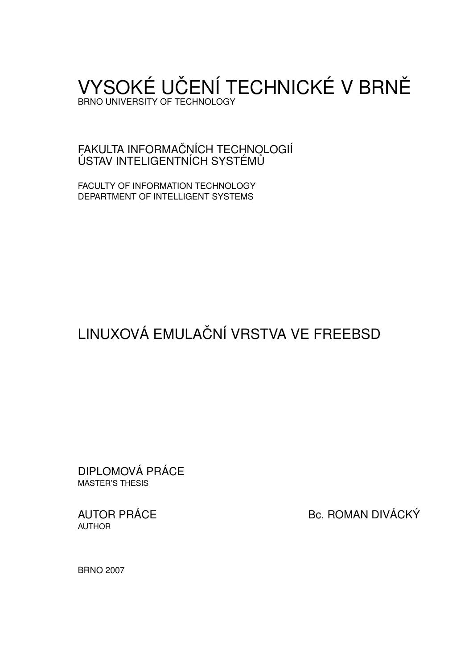# VYSOKÉ UČENÍ TECHNICKÉ V BRNĚ BRNO UNIVERSITY OF TECHNOLOGY

FAKULTA INFORMAČNÍCH TECHNOLOGIÍ ÚSTAV INTELIGENTNÍCH SYSTÉMŮ

FACULTY OF INFORMATION TECHNOLOGY DEPARTMENT OF INTELLIGENT SYSTEMS

# LINUXOVÁ EMULAČNÍ VRSTVA VE FREEBSD

DIPLOMOVÁ PRÁCE MASTER'S THESIS

AUTHOR

AUTOR PRÁCE BC. ROMAN DIVÁCKÝ

BRNO 2007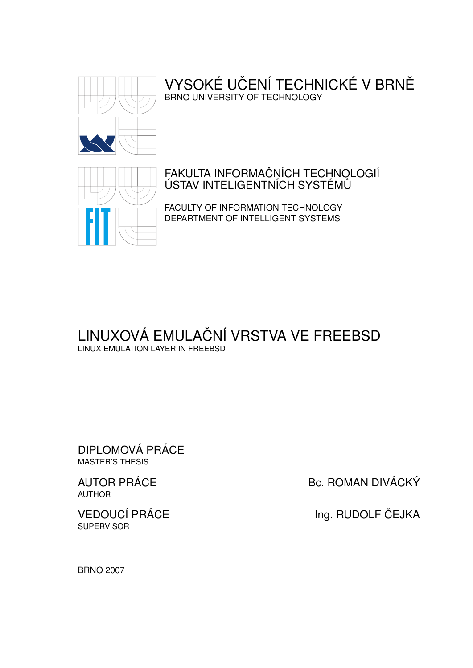

# VYSOKÉ UČENÍ TECHNICKÉ V BRNĚ BRNO UNIVERSITY OF TECHNOLOGY



# FAKULTA INFORMAČŅÍCH TECHNOLOGIÍ ÚSTAV INTELIGENTNÍCH SYSTÉMŮ

FACULTY OF INFORMATION TECHNOLOGY DEPARTMENT OF INTELLIGENT SYSTEMS

# LINUXOVÁ EMULAČNÍ VRSTVA VE FREEBSD LINUX EMULATION LAYER IN FREEBSD

DIPLOMOVÁ PRÁCE MASTER'S THESIS

AUTHOR

**SUPERVISOR** 

AUTOR PRÁCE BC. ROMAN DIVÁCKÝ

VEDOUCÍ PRÁCE INGLESITÉ Ing. RUDOLF ČEJKA

BRNO 2007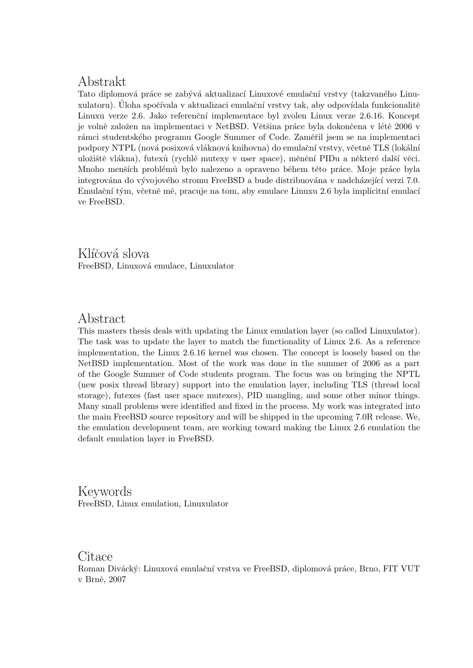# Abstrakt

Tato diplomová práce se zabývá aktualizací Linuxové emulační vrstvy (takzvaného Linuxulatoru). Uloha spočívala v aktualizaci emulační vrstvy tak, aby odpovídala funkcionalitě Linuxu verze 2.6. Jako referenční implementace byl zvolen Linux verze 2.6.16. Koncept je volně založen na implementaci v NetBSD. Většina práce byla dokončena v létě 2006 v rámci studentského programu Google Summer of Code. Zaměřil jsem se na implementaci podpory NTPL (nová posixová vláknová knihovna) do emulační vrstvy, včetně TLS (lokální uložiště vlákna), futexů (rychlé mutexy v user space), měnění PIDu a některé další věci. Mnoho menších problémů bylo nalezeno a opraveno během této práce. Moje práce byla integrována do vývojového stromu FreeBSD a bude distribuována v nadcházející verzi 7.0. Emulační tým, včetně mě, pracuje na tom, aby emulace Linuxu 2.6 byla implicitní emulací ve FreeBSD.

Klíčová slova FreeBSD, Linuxová emulace, Linuxulator

# Abstract

This masters thesis deals with updating the Linux emulation layer (so called Linuxulator). The task was to update the layer to match the functionality of Linux 2.6. As a reference implementation, the Linux 2.6.16 kernel was chosen. The concept is loosely based on the NetBSD implementation. Most of the work was done in the summer of 2006 as a part of the Google Summer of Code students program. The focus was on bringing the NPTL (new posix thread library) support into the emulation layer, including TLS (thread local storage), futexes (fast user space mutexes), PID mangling, and some other minor things. Many small problems were identified and fixed in the process. My work was integrated into the main FreeBSD source repository and will be shipped in the upcoming 7.0R release. We, the emulation development team, are working toward making the Linux 2.6 emulation the default emulation layer in FreeBSD.

Keywords FreeBSD, Linux emulation, Linuxulator

Citace

Roman Divácký: Linuxová emulační vrstva ve FreeBSD, diplomová práce, Brno, FIT VUT v Brně, 2007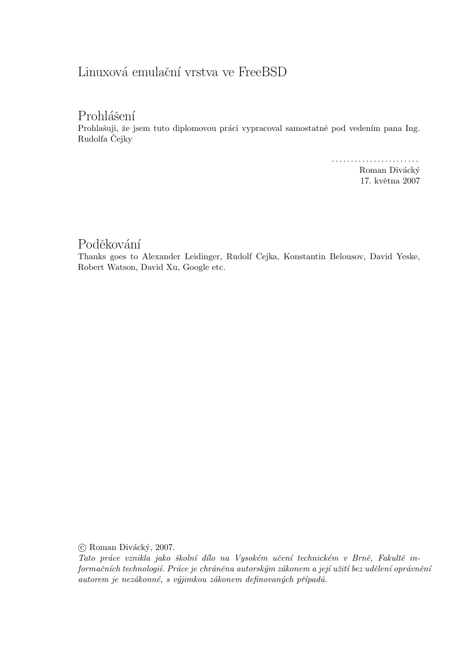# Linuxová emulační vrstva ve FreeBSD

# Prohlášení

Prohlašuji, že jsem tuto diplomovou práci vypracoval samostatně pod vedením pana Ing. Rudolfa Čejky

. . . . . . . . . . . . . . . . . . . . . . .

Roman Divácký 17. května 2007

# Poděkování

Thanks goes to Alexander Leidinger, Rudolf Cejka, Konstantin Belousov, David Yeske, Robert Watson, David Xu, Google etc.

 $\odot$  Roman Divácký, 2007.

Tato práce vznikla jako školní dílo na Vysokém učení technickém v Brně, Fakultě informačních technologií. Práce je chráněna autorským zákonem a její užití bez udělení oprávnění autorem je nezákonné, s výjimkou zákonem definovaných případů.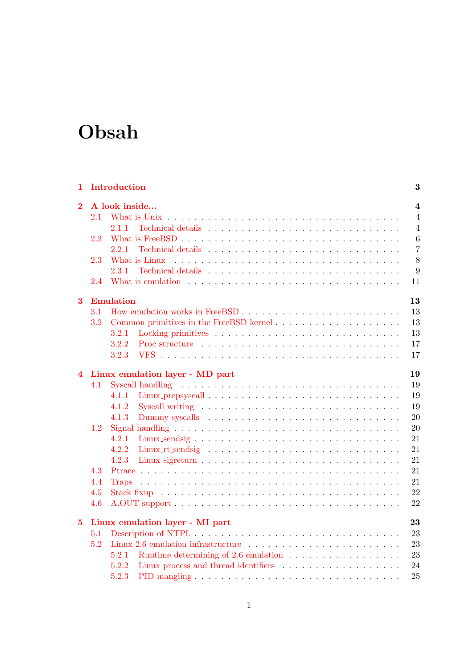# Obsah

| 1                       |     | Introduction                                                                                                                                                                                                                   | 3              |  |  |  |  |  |  |  |  |  |
|-------------------------|-----|--------------------------------------------------------------------------------------------------------------------------------------------------------------------------------------------------------------------------------|----------------|--|--|--|--|--|--|--|--|--|
| $\overline{2}$          |     | A look inside<br>$\overline{4}$                                                                                                                                                                                                |                |  |  |  |  |  |  |  |  |  |
|                         | 2.1 |                                                                                                                                                                                                                                | $\overline{4}$ |  |  |  |  |  |  |  |  |  |
|                         |     | 2.1.1                                                                                                                                                                                                                          | $\overline{4}$ |  |  |  |  |  |  |  |  |  |
|                         | 2.2 |                                                                                                                                                                                                                                | 6              |  |  |  |  |  |  |  |  |  |
|                         |     | 2.2.1                                                                                                                                                                                                                          | $\overline{7}$ |  |  |  |  |  |  |  |  |  |
|                         | 2.3 |                                                                                                                                                                                                                                | 8              |  |  |  |  |  |  |  |  |  |
|                         |     | 2.3.1                                                                                                                                                                                                                          | 9              |  |  |  |  |  |  |  |  |  |
|                         | 2.4 | What is emulation entering to the set of the set of the set of the set of the set of the set of the set of the set of the set of the set of the set of the set of the set of the set of the set of the set of the set of the s | 11             |  |  |  |  |  |  |  |  |  |
| 3                       |     | 13<br><b>Emulation</b>                                                                                                                                                                                                         |                |  |  |  |  |  |  |  |  |  |
|                         | 3.1 |                                                                                                                                                                                                                                | 13             |  |  |  |  |  |  |  |  |  |
|                         | 3.2 | Common primitives in the FreeBSD kernel                                                                                                                                                                                        | 13             |  |  |  |  |  |  |  |  |  |
|                         |     | 3.2.1                                                                                                                                                                                                                          | 13             |  |  |  |  |  |  |  |  |  |
|                         |     | 3.2.2<br>Proc structure $\ldots \ldots \ldots \ldots \ldots \ldots \ldots \ldots \ldots \ldots$                                                                                                                                | 17             |  |  |  |  |  |  |  |  |  |
|                         |     | 3.2.3                                                                                                                                                                                                                          | 17             |  |  |  |  |  |  |  |  |  |
| $\overline{\mathbf{4}}$ |     | Linux emulation layer - MD part                                                                                                                                                                                                | 19             |  |  |  |  |  |  |  |  |  |
|                         | 4.1 |                                                                                                                                                                                                                                | 19             |  |  |  |  |  |  |  |  |  |
|                         |     | 4.1.1                                                                                                                                                                                                                          | 19             |  |  |  |  |  |  |  |  |  |
|                         |     | 4.1.2                                                                                                                                                                                                                          | 19             |  |  |  |  |  |  |  |  |  |
|                         |     | 4.1.3                                                                                                                                                                                                                          | 20             |  |  |  |  |  |  |  |  |  |
|                         | 4.2 | Signal handling $\ldots \ldots \ldots \ldots \ldots \ldots \ldots \ldots \ldots \ldots \ldots \ldots$                                                                                                                          | 20             |  |  |  |  |  |  |  |  |  |
|                         |     | 4.2.1                                                                                                                                                                                                                          | 21             |  |  |  |  |  |  |  |  |  |
|                         |     | 4.2.2                                                                                                                                                                                                                          | 21             |  |  |  |  |  |  |  |  |  |
|                         |     | 4.2.3                                                                                                                                                                                                                          | 21             |  |  |  |  |  |  |  |  |  |
|                         | 4.3 |                                                                                                                                                                                                                                | 21             |  |  |  |  |  |  |  |  |  |
|                         | 4.4 | <b>Traps</b>                                                                                                                                                                                                                   | 21             |  |  |  |  |  |  |  |  |  |
|                         | 4.5 |                                                                                                                                                                                                                                | 22             |  |  |  |  |  |  |  |  |  |
|                         | 4.6 |                                                                                                                                                                                                                                | 22             |  |  |  |  |  |  |  |  |  |
| $\overline{5}$          |     | Linux emulation layer - MI part                                                                                                                                                                                                | 23             |  |  |  |  |  |  |  |  |  |
|                         | 5.1 |                                                                                                                                                                                                                                | 23             |  |  |  |  |  |  |  |  |  |
|                         | 5.2 |                                                                                                                                                                                                                                | 23             |  |  |  |  |  |  |  |  |  |
|                         |     | Runtime determining of 2.6 emulation $\ldots \ldots \ldots \ldots \ldots$<br>5.2.1                                                                                                                                             | 23             |  |  |  |  |  |  |  |  |  |
|                         |     | 5.2.2                                                                                                                                                                                                                          | 24             |  |  |  |  |  |  |  |  |  |
|                         |     | 5.2.3                                                                                                                                                                                                                          | 25             |  |  |  |  |  |  |  |  |  |
|                         |     |                                                                                                                                                                                                                                |                |  |  |  |  |  |  |  |  |  |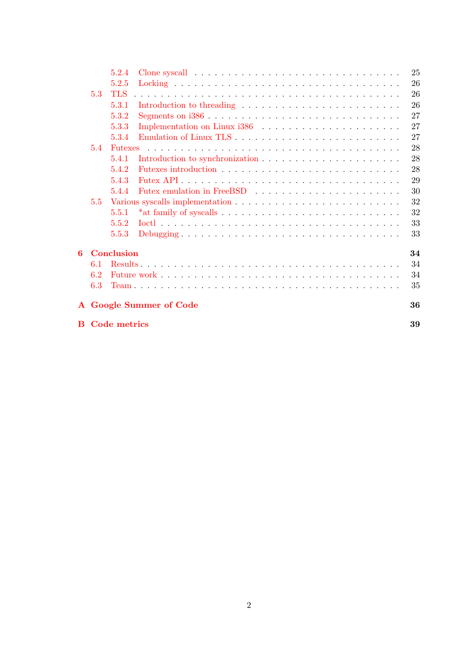|                |                     | 5.2.4             |                         |  |  | 25 |
|----------------|---------------------|-------------------|-------------------------|--|--|----|
|                |                     | 5.2.5             |                         |  |  | 26 |
|                | 5.3                 | <b>TLS</b>        |                         |  |  | 26 |
|                |                     | 5.3.1             |                         |  |  | 26 |
|                |                     | 5.3.2             |                         |  |  | 27 |
|                |                     | 5.3.3             |                         |  |  | 27 |
|                |                     | 5.3.4             |                         |  |  | 27 |
|                | 5.4                 | Futexes           |                         |  |  | 28 |
|                |                     | 5.4.1             |                         |  |  | 28 |
|                |                     | 5.4.2             |                         |  |  | 28 |
|                |                     | 5.4.3             |                         |  |  | 29 |
|                |                     | 5.4.4             |                         |  |  | 30 |
|                | 5.5                 |                   |                         |  |  | 32 |
|                |                     | 5.5.1             |                         |  |  | 32 |
|                |                     | 5.5.2             |                         |  |  | 33 |
|                |                     | 5.5.3             |                         |  |  | 33 |
| $6\phantom{a}$ |                     | <b>Conclusion</b> |                         |  |  | 34 |
|                | 6.1                 |                   |                         |  |  | 34 |
|                | 6.2                 |                   |                         |  |  | 34 |
|                | 6.3                 |                   |                         |  |  | 35 |
|                |                     |                   | A Google Summer of Code |  |  | 36 |
| B              | <b>Code metrics</b> |                   |                         |  |  |    |
|                |                     |                   |                         |  |  |    |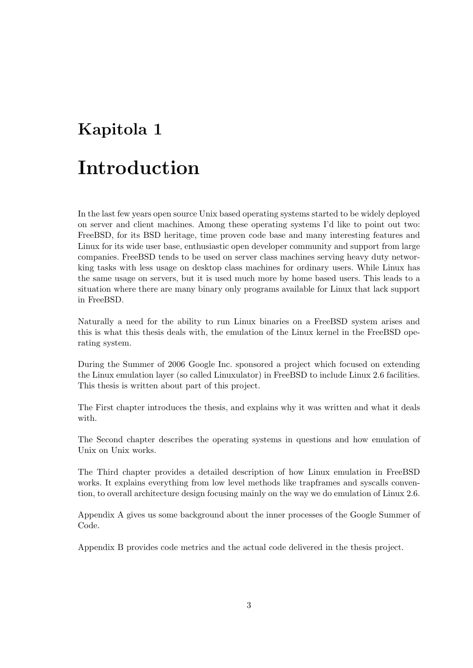# <span id="page-6-0"></span>Kapitola 1

# Introduction

In the last few years open source Unix based operating systems started to be widely deployed on server and client machines. Among these operating systems I'd like to point out two: FreeBSD, for its BSD heritage, time proven code base and many interesting features and Linux for its wide user base, enthusiastic open developer community and support from large companies. FreeBSD tends to be used on server class machines serving heavy duty networking tasks with less usage on desktop class machines for ordinary users. While Linux has the same usage on servers, but it is used much more by home based users. This leads to a situation where there are many binary only programs available for Linux that lack support in FreeBSD.

Naturally a need for the ability to run Linux binaries on a FreeBSD system arises and this is what this thesis deals with, the emulation of the Linux kernel in the FreeBSD operating system.

During the Summer of 2006 Google Inc. sponsored a project which focused on extending the Linux emulation layer (so called Linuxulator) in FreeBSD to include Linux 2.6 facilities. This thesis is written about part of this project.

The First chapter introduces the thesis, and explains why it was written and what it deals with.

The Second chapter describes the operating systems in questions and how emulation of Unix on Unix works.

The Third chapter provides a detailed description of how Linux emulation in FreeBSD works. It explains everything from low level methods like trapframes and syscalls convention, to overall architecture design focusing mainly on the way we do emulation of Linux 2.6.

Appendix A gives us some background about the inner processes of the Google Summer of Code.

Appendix B provides code metrics and the actual code delivered in the thesis project.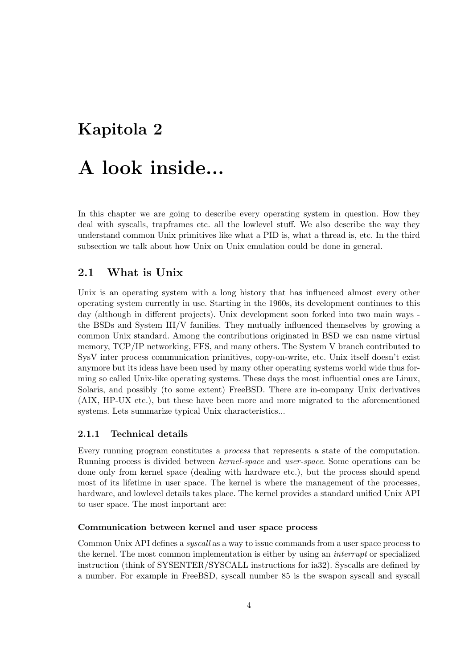# <span id="page-7-0"></span>Kapitola 2

# A look inside...

In this chapter we are going to describe every operating system in question. How they deal with syscalls, trapframes etc. all the lowlevel stuff. We also describe the way they understand common Unix primitives like what a PID is, what a thread is, etc. In the third subsection we talk about how Unix on Unix emulation could be done in general.

# <span id="page-7-1"></span>2.1 What is Unix

Unix is an operating system with a long history that has influenced almost every other operating system currently in use. Starting in the 1960s, its development continues to this day (although in different projects). Unix development soon forked into two main ways the BSDs and System III/V families. They mutually influenced themselves by growing a common Unix standard. Among the contributions originated in BSD we can name virtual memory, TCP/IP networking, FFS, and many others. The System V branch contributed to SysV inter process communication primitives, copy-on-write, etc. Unix itself doesn't exist anymore but its ideas have been used by many other operating systems world wide thus forming so called Unix-like operating systems. These days the most influential ones are Linux, Solaris, and possibly (to some extent) FreeBSD. There are in-company Unix derivatives (AIX, HP-UX etc.), but these have been more and more migrated to the aforementioned systems. Lets summarize typical Unix characteristics...

## <span id="page-7-2"></span>2.1.1 Technical details

Every running program constitutes a process that represents a state of the computation. Running process is divided between kernel-space and user-space. Some operations can be done only from kernel space (dealing with hardware etc.), but the process should spend most of its lifetime in user space. The kernel is where the management of the processes, hardware, and lowlevel details takes place. The kernel provides a standard unified Unix API to user space. The most important are:

#### Communication between kernel and user space process

Common Unix API defines a syscall as a way to issue commands from a user space process to the kernel. The most common implementation is either by using an interrupt or specialized instruction (think of SYSENTER/SYSCALL instructions for ia32). Syscalls are defined by a number. For example in FreeBSD, syscall number 85 is the swapon syscall and syscall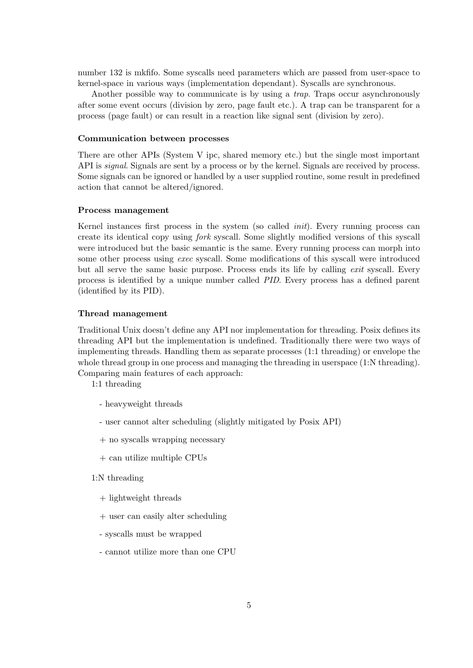number 132 is mkfifo. Some syscalls need parameters which are passed from user-space to kernel-space in various ways (implementation dependant). Syscalls are synchronous.

Another possible way to communicate is by using a trap. Traps occur asynchronously after some event occurs (division by zero, page fault etc.). A trap can be transparent for a process (page fault) or can result in a reaction like signal sent (division by zero).

#### Communication between processes

There are other APIs (System V ipc, shared memory etc.) but the single most important API is *signal*. Signals are sent by a process or by the kernel. Signals are received by process. Some signals can be ignored or handled by a user supplied routine, some result in predefined action that cannot be altered/ignored.

#### Process management

Kernel instances first process in the system (so called init). Every running process can create its identical copy using fork syscall. Some slightly modified versions of this syscall were introduced but the basic semantic is the same. Every running process can morph into some other process using exec syscall. Some modifications of this syscall were introduced but all serve the same basic purpose. Process ends its life by calling exit syscall. Every process is identified by a unique number called PID. Every process has a defined parent (identified by its PID).

#### Thread management

Traditional Unix doesn't define any API nor implementation for threading. Posix defines its threading API but the implementation is undefined. Traditionally there were two ways of implementing threads. Handling them as separate processes (1:1 threading) or envelope the whole thread group in one process and managing the threading in userspace  $(1:N \text{ threading})$ . Comparing main features of each approach:

1:1 threading

- heavyweight threads
- user cannot alter scheduling (slightly mitigated by Posix API)
- + no syscalls wrapping necessary
- + can utilize multiple CPUs
- 1:N threading
	- + lightweight threads
	- + user can easily alter scheduling
	- syscalls must be wrapped
	- cannot utilize more than one CPU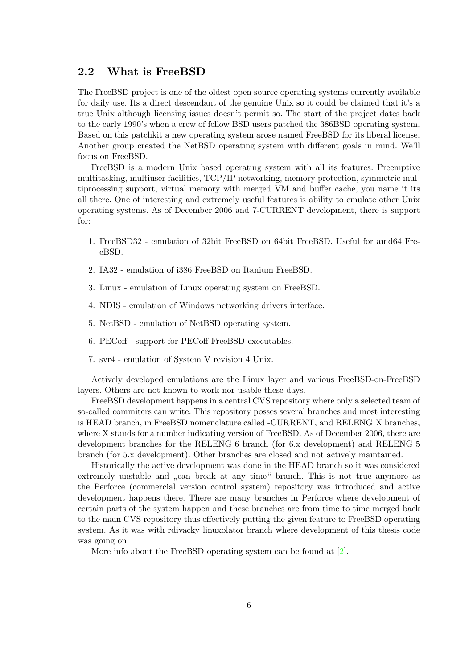# <span id="page-9-0"></span>2.2 What is FreeBSD

The FreeBSD project is one of the oldest open source operating systems currently available for daily use. Its a direct descendant of the genuine Unix so it could be claimed that it's a true Unix although licensing issues doesn't permit so. The start of the project dates back to the early 1990's when a crew of fellow BSD users patched the 386BSD operating system. Based on this patchkit a new operating system arose named FreeBSD for its liberal license. Another group created the NetBSD operating system with different goals in mind. We'll focus on FreeBSD.

FreeBSD is a modern Unix based operating system with all its features. Preemptive multitasking, multiuser facilities, TCP/IP networking, memory protection, symmetric multiprocessing support, virtual memory with merged VM and buffer cache, you name it its all there. One of interesting and extremely useful features is ability to emulate other Unix operating systems. As of December 2006 and 7-CURRENT development, there is support for:

- 1. FreeBSD32 emulation of 32bit FreeBSD on 64bit FreeBSD. Useful for amd64 FreeBSD.
- 2. IA32 emulation of i386 FreeBSD on Itanium FreeBSD.
- 3. Linux emulation of Linux operating system on FreeBSD.
- 4. NDIS emulation of Windows networking drivers interface.
- 5. NetBSD emulation of NetBSD operating system.
- 6. PECoff support for PECoff FreeBSD executables.
- 7. svr4 emulation of System V revision 4 Unix.

Actively developed emulations are the Linux layer and various FreeBSD-on-FreeBSD layers. Others are not known to work nor usable these days.

FreeBSD development happens in a central CVS repository where only a selected team of so-called commiters can write. This repository posses several branches and most interesting is HEAD branch, in FreeBSD nomenclature called -CURRENT, and RELENG X branches, where X stands for a number indicating version of FreeBSD. As of December 2006, there are development branches for the RELENG<sub>-6</sub> branch (for 6.x development) and RELENG<sub>-5</sub> branch (for 5.x development). Other branches are closed and not actively maintained.

Historically the active development was done in the HEAD branch so it was considered extremely unstable and  $\alpha$ , can break at any time" branch. This is not true anymore as the Perforce (commercial version control system) repository was introduced and active development happens there. There are many branches in Perforce where development of certain parts of the system happen and these branches are from time to time merged back to the main CVS repository thus effectively putting the given feature to FreeBSD operating system. As it was with rdivacky linuxolator branch where development of this thesis code was going on.

More info about the FreeBSD operating system can be found at [\[2\]](#page-43-0).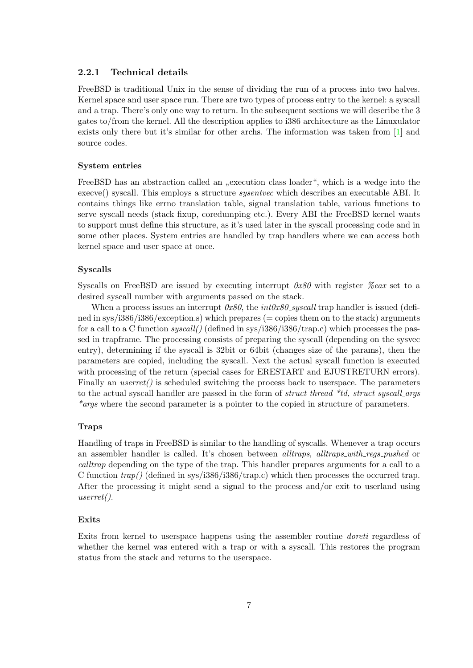### <span id="page-10-0"></span>2.2.1 Technical details

FreeBSD is traditional Unix in the sense of dividing the run of a process into two halves. Kernel space and user space run. There are two types of process entry to the kernel: a syscall and a trap. There's only one way to return. In the subsequent sections we will describe the 3 gates to/from the kernel. All the description applies to i386 architecture as the Linuxulator exists only there but it's similar for other archs. The information was taken from [\[1\]](#page-43-1) and source codes.

#### System entries

FreeBSD has an abstraction called an "execution class loader", which is a wedge into the execve() syscall. This employs a structure sysentvec which describes an executable ABI. It contains things like errno translation table, signal translation table, various functions to serve syscall needs (stack fixup, coredumping etc.). Every ABI the FreeBSD kernel wants to support must define this structure, as it's used later in the syscall processing code and in some other places. System entries are handled by trap handlers where we can access both kernel space and user space at once.

#### Syscalls

Syscalls on FreeBSD are issued by executing interrupt  $0x80$  with register  $\%$ eax set to a desired syscall number with arguments passed on the stack.

When a process issues an interrupt  $0x80$ , the int $0x80$ -syscall trap handler is issued (defined in sys/i386/i386/exception.s) which prepares ( $=$  copies them on to the stack) arguments for a call to a C function  $syscall()$  (defined in sys/i386/i386/trap.c) which processes the passed in trapframe. The processing consists of preparing the syscall (depending on the sysvec entry), determining if the syscall is 32bit or 64bit (changes size of the params), then the parameters are copied, including the syscall. Next the actual syscall function is executed with processing of the return (special cases for ERESTART and EJUSTRETURN errors). Finally an *userret()* is scheduled switching the process back to userspace. The parameters to the actual syscall handler are passed in the form of *struct thread \*td, struct syscall args* \*args where the second parameter is a pointer to the copied in structure of parameters.

#### Traps

Handling of traps in FreeBSD is similar to the handling of syscalls. Whenever a trap occurs an assembler handler is called. It's chosen between *alltraps*, *alltraps\_with\_reqs\_pushed* or calltrap depending on the type of the trap. This handler prepares arguments for a call to a C function  $trap()$  (defined in sys/i386/i386/trap.c) which then processes the occurred trap. After the processing it might send a signal to the process and/or exit to userland using userret().

## Exits

Exits from kernel to userspace happens using the assembler routine doreti regardless of whether the kernel was entered with a trap or with a syscall. This restores the program status from the stack and returns to the userspace.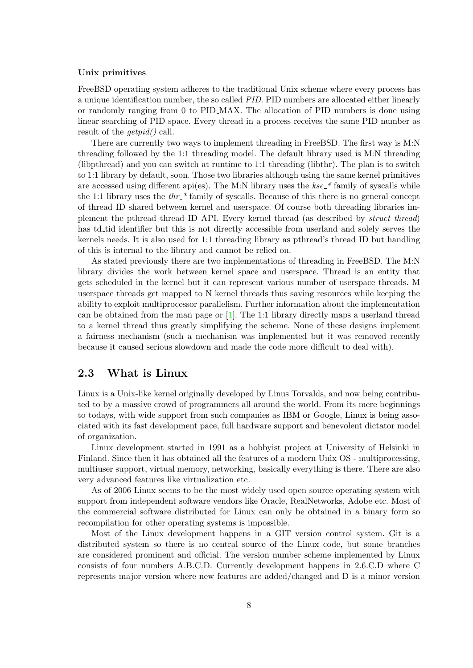## Unix primitives

FreeBSD operating system adheres to the traditional Unix scheme where every process has a unique identification number, the so called PID. PID numbers are allocated either linearly or randomly ranging from 0 to PID MAX. The allocation of PID numbers is done using linear searching of PID space. Every thread in a process receives the same PID number as result of the  $qetpid()$  call.

There are currently two ways to implement threading in FreeBSD. The first way is M:N threading followed by the 1:1 threading model. The default library used is M:N threading (libpthread) and you can switch at runtime to 1:1 threading (libthr). The plan is to switch to 1:1 library by default, soon. Those two libraries although using the same kernel primitives are accessed using different api(es). The M:N library uses the  $kse^{-*}$  family of syscalls while the 1:1 library uses the  $thr$ <sup>\*</sup> family of syscalls. Because of this there is no general concept of thread ID shared between kernel and userspace. Of course both threading libraries implement the pthread thread ID API. Every kernel thread (as described by struct thread) has td tid identifier but this is not directly accessible from userland and solely serves the kernels needs. It is also used for 1:1 threading library as pthread's thread ID but handling of this is internal to the library and cannot be relied on.

As stated previously there are two implementations of threading in FreeBSD. The M:N library divides the work between kernel space and userspace. Thread is an entity that gets scheduled in the kernel but it can represent various number of userspace threads. M userspace threads get mapped to N kernel threads thus saving resources while keeping the ability to exploit multiprocessor parallelism. Further information about the implementation can be obtained from the man page or  $[1]$ . The 1:1 library directly maps a userland thread to a kernel thread thus greatly simplifying the scheme. None of these designs implement a fairness mechanism (such a mechanism was implemented but it was removed recently because it caused serious slowdown and made the code more difficult to deal with).

# <span id="page-11-0"></span>2.3 What is Linux

Linux is a Unix-like kernel originally developed by Linus Torvalds, and now being contributed to by a massive crowd of programmers all around the world. From its mere beginnings to todays, with wide support from such companies as IBM or Google, Linux is being associated with its fast development pace, full hardware support and benevolent dictator model of organization.

Linux development started in 1991 as a hobbyist project at University of Helsinki in Finland. Since then it has obtained all the features of a modern Unix OS - multiprocessing, multiuser support, virtual memory, networking, basically everything is there. There are also very advanced features like virtualization etc.

As of 2006 Linux seems to be the most widely used open source operating system with support from independent software vendors like Oracle, RealNetworks, Adobe etc. Most of the commercial software distributed for Linux can only be obtained in a binary form so recompilation for other operating systems is impossible.

Most of the Linux development happens in a GIT version control system. Git is a distributed system so there is no central source of the Linux code, but some branches are considered prominent and official. The version number scheme implemented by Linux consists of four numbers A.B.C.D. Currently development happens in 2.6.C.D where C represents major version where new features are added/changed and D is a minor version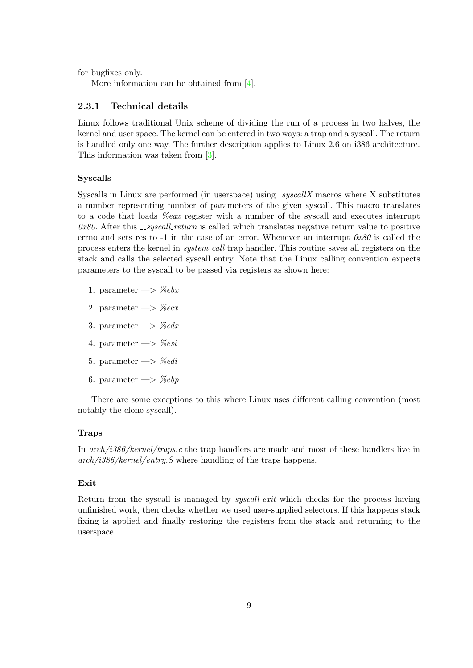for bugfixes only.

More information can be obtained from [\[4\]](#page-43-2).

# <span id="page-12-0"></span>2.3.1 Technical details

Linux follows traditional Unix scheme of dividing the run of a process in two halves, the kernel and user space. The kernel can be entered in two ways: a trap and a syscall. The return is handled only one way. The further description applies to Linux 2.6 on i386 architecture. This information was taken from [\[3\]](#page-43-3).

### Syscalls

Syscalls in Linux are performed (in userspace) using  $\text{\textit{\_syscallX}}$  macros where X substitutes a number representing number of parameters of the given syscall. This macro translates to a code that loads %eax register with a number of the syscall and executes interrupt  $\alpha$ 80. After this  $\sqrt{S}$  syscall return is called which translates negative return value to positive errno and sets res to  $-1$  in the case of an error. Whenever an interrupt  $0x80$  is called the process enters the kernel in system call trap handler. This routine saves all registers on the stack and calls the selected syscall entry. Note that the Linux calling convention expects parameters to the syscall to be passed via registers as shown here:

- 1. parameter  $\Longrightarrow$  %ebx
- 2. parameter  $\Longrightarrow$  %ecx
- 3. parameter  $\Longrightarrow$  % edx
- 4. parameter  $\Longrightarrow$  %esi
- 5. parameter  $\Longrightarrow$  %edi
- 6. parameter  $\Longrightarrow$  %ebp

There are some exceptions to this where Linux uses different calling convention (most notably the clone syscall).

#### Traps

In arch/i386/kernel/traps.c the trap handlers are made and most of these handlers live in  $arch/i386/kernel/entry.$  where handling of the traps happens.

## Exit

Return from the syscall is managed by *syscall exit* which checks for the process having unfinished work, then checks whether we used user-supplied selectors. If this happens stack fixing is applied and finally restoring the registers from the stack and returning to the userspace.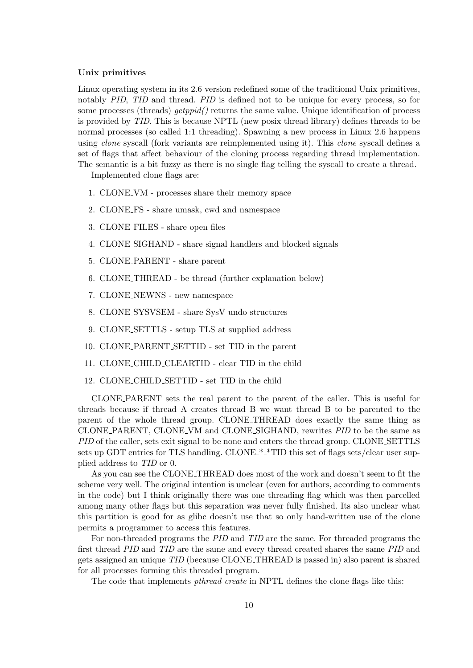# Unix primitives

Linux operating system in its 2.6 version redefined some of the traditional Unix primitives, notably PID, TID and thread. PID is defined not to be unique for every process, so for some processes (threads)  $qetppid$  returns the same value. Unique identification of process is provided by TID. This is because NPTL (new posix thread library) defines threads to be normal processes (so called 1:1 threading). Spawning a new process in Linux 2.6 happens using *clone* syscall (fork variants are reimplemented using it). This *clone* syscall defines a set of flags that affect behaviour of the cloning process regarding thread implementation. The semantic is a bit fuzzy as there is no single flag telling the syscall to create a thread.

Implemented clone flags are:

- 1. CLONE VM processes share their memory space
- 2. CLONE FS share umask, cwd and namespace
- 3. CLONE FILES share open files
- 4. CLONE SIGHAND share signal handlers and blocked signals
- 5. CLONE PARENT share parent
- 6. CLONE THREAD be thread (further explanation below)
- 7. CLONE NEWNS new namespace
- 8. CLONE SYSVSEM share SysV undo structures
- 9. CLONE SETTLS setup TLS at supplied address
- 10. CLONE PARENT SETTID set TID in the parent
- 11. CLONE CHILD CLEARTID clear TID in the child
- 12. CLONE CHILD SETTID set TID in the child

CLONE PARENT sets the real parent to the parent of the caller. This is useful for threads because if thread A creates thread B we want thread B to be parented to the parent of the whole thread group. CLONE THREAD does exactly the same thing as CLONE PARENT, CLONE VM and CLONE SIGHAND, rewrites PID to be the same as PID of the caller, sets exit signal to be none and enters the thread group. CLONE SETTLS sets up GDT entries for TLS handling. CLONE<sub>\*</sub>\*TID this set of flags sets/clear user supplied address to TID or 0.

As you can see the CLONE THREAD does most of the work and doesn't seem to fit the scheme very well. The original intention is unclear (even for authors, according to comments in the code) but I think originally there was one threading flag which was then parcelled among many other flags but this separation was never fully finished. Its also unclear what this partition is good for as glibc doesn't use that so only hand-written use of the clone permits a programmer to access this features.

For non-threaded programs the PID and TID are the same. For threaded programs the first thread PID and TID are the same and every thread created shares the same PID and gets assigned an unique TID (because CLONE THREAD is passed in) also parent is shared for all processes forming this threaded program.

The code that implements *pthread\_create* in NPTL defines the clone flags like this: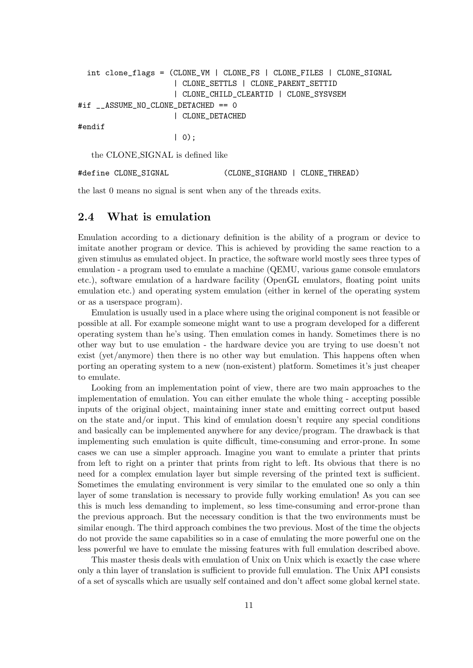```
int clone_flags = (CLONE_VM | CLONE_FS | CLONE_FILES | CLONE_SIGNAL
                     | CLONE_SETTLS | CLONE_PARENT_SETTID
                     | CLONE_CHILD_CLEARTID | CLONE_SYSVSEM
#if __ASSUME_NO_CLONE_DETACHED == 0
                     | CLONE_DETACHED
#endif
                     | 0);
```
the CLONE SIGNAL is defined like

#define CLONE\_SIGNAL (CLONE\_SIGHAND | CLONE\_THREAD)

the last 0 means no signal is sent when any of the threads exits.

# <span id="page-14-0"></span>2.4 What is emulation

Emulation according to a dictionary definition is the ability of a program or device to imitate another program or device. This is achieved by providing the same reaction to a given stimulus as emulated object. In practice, the software world mostly sees three types of emulation - a program used to emulate a machine (QEMU, various game console emulators etc.), software emulation of a hardware facility (OpenGL emulators, floating point units emulation etc.) and operating system emulation (either in kernel of the operating system or as a userspace program).

Emulation is usually used in a place where using the original component is not feasible or possible at all. For example someone might want to use a program developed for a different operating system than he's using. Then emulation comes in handy. Sometimes there is no other way but to use emulation - the hardware device you are trying to use doesn't not exist (yet/anymore) then there is no other way but emulation. This happens often when porting an operating system to a new (non-existent) platform. Sometimes it's just cheaper to emulate.

Looking from an implementation point of view, there are two main approaches to the implementation of emulation. You can either emulate the whole thing - accepting possible inputs of the original object, maintaining inner state and emitting correct output based on the state and/or input. This kind of emulation doesn't require any special conditions and basically can be implemented anywhere for any device/program. The drawback is that implementing such emulation is quite difficult, time-consuming and error-prone. In some cases we can use a simpler approach. Imagine you want to emulate a printer that prints from left to right on a printer that prints from right to left. Its obvious that there is no need for a complex emulation layer but simple reversing of the printed text is sufficient. Sometimes the emulating environment is very similar to the emulated one so only a thin layer of some translation is necessary to provide fully working emulation! As you can see this is much less demanding to implement, so less time-consuming and error-prone than the previous approach. But the necessary condition is that the two environments must be similar enough. The third approach combines the two previous. Most of the time the objects do not provide the same capabilities so in a case of emulating the more powerful one on the less powerful we have to emulate the missing features with full emulation described above.

This master thesis deals with emulation of Unix on Unix which is exactly the case where only a thin layer of translation is sufficient to provide full emulation. The Unix API consists of a set of syscalls which are usually self contained and don't affect some global kernel state.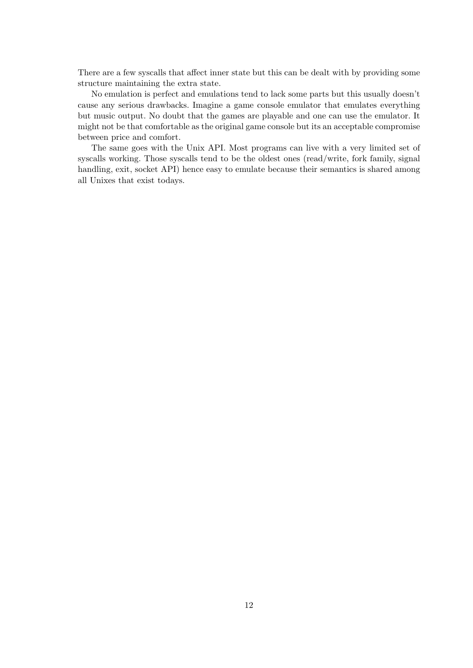There are a few syscalls that affect inner state but this can be dealt with by providing some structure maintaining the extra state.

No emulation is perfect and emulations tend to lack some parts but this usually doesn't cause any serious drawbacks. Imagine a game console emulator that emulates everything but music output. No doubt that the games are playable and one can use the emulator. It might not be that comfortable as the original game console but its an acceptable compromise between price and comfort.

The same goes with the Unix API. Most programs can live with a very limited set of syscalls working. Those syscalls tend to be the oldest ones (read/write, fork family, signal handling, exit, socket API) hence easy to emulate because their semantics is shared among all Unixes that exist todays.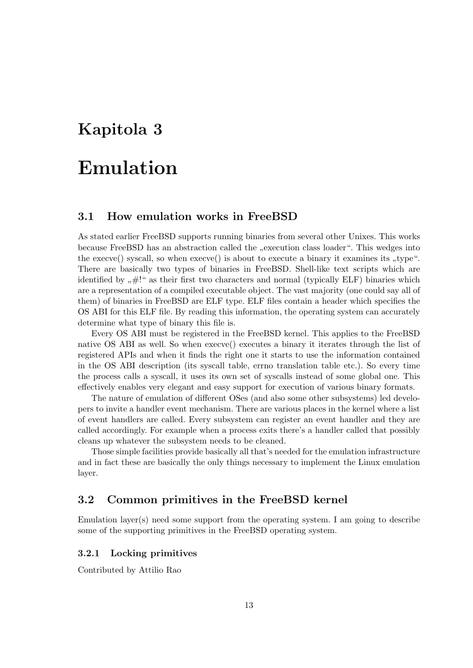# <span id="page-16-0"></span>Kapitola 3

# Emulation

# <span id="page-16-1"></span>3.1 How emulation works in FreeBSD

As stated earlier FreeBSD supports running binaries from several other Unixes. This works because FreeBSD has an abstraction called the "execution class loader". This wedges into the execve() syscall, so when execve() is about to execute a binary it examines its "type". There are basically two types of binaries in FreeBSD. Shell-like text scripts which are identified by  $H^{\prime\prime}$  as their first two characters and normal (typically ELF) binaries which are a representation of a compiled executable object. The vast majority (one could say all of them) of binaries in FreeBSD are ELF type. ELF files contain a header which specifies the OS ABI for this ELF file. By reading this information, the operating system can accurately determine what type of binary this file is.

Every OS ABI must be registered in the FreeBSD kernel. This applies to the FreeBSD native OS ABI as well. So when execve() executes a binary it iterates through the list of registered APIs and when it finds the right one it starts to use the information contained in the OS ABI description (its syscall table, errno translation table etc.). So every time the process calls a syscall, it uses its own set of syscalls instead of some global one. This effectively enables very elegant and easy support for execution of various binary formats.

The nature of emulation of different OSes (and also some other subsystems) led developers to invite a handler event mechanism. There are various places in the kernel where a list of event handlers are called. Every subsystem can register an event handler and they are called accordingly. For example when a process exits there's a handler called that possibly cleans up whatever the subsystem needs to be cleaned.

Those simple facilities provide basically all that's needed for the emulation infrastructure and in fact these are basically the only things necessary to implement the Linux emulation layer.

# <span id="page-16-2"></span>3.2 Common primitives in the FreeBSD kernel

Emulation layer(s) need some support from the operating system. I am going to describe some of the supporting primitives in the FreeBSD operating system.

## <span id="page-16-3"></span>3.2.1 Locking primitives

Contributed by Attilio Rao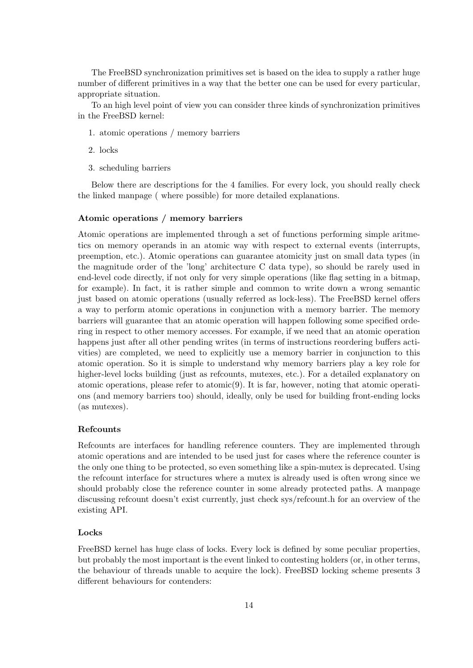The FreeBSD synchronization primitives set is based on the idea to supply a rather huge number of different primitives in a way that the better one can be used for every particular, appropriate situation.

To an high level point of view you can consider three kinds of synchronization primitives in the FreeBSD kernel:

- 1. atomic operations / memory barriers
- 2. locks
- 3. scheduling barriers

Below there are descriptions for the 4 families. For every lock, you should really check the linked manpage ( where possible) for more detailed explanations.

## Atomic operations / memory barriers

Atomic operations are implemented through a set of functions performing simple aritmetics on memory operands in an atomic way with respect to external events (interrupts, preemption, etc.). Atomic operations can guarantee atomicity just on small data types (in the magnitude order of the 'long' architecture C data type), so should be rarely used in end-level code directly, if not only for very simple operations (like flag setting in a bitmap, for example). In fact, it is rather simple and common to write down a wrong semantic just based on atomic operations (usually referred as lock-less). The FreeBSD kernel offers a way to perform atomic operations in conjunction with a memory barrier. The memory barriers will guarantee that an atomic operation will happen following some specified ordering in respect to other memory accesses. For example, if we need that an atomic operation happens just after all other pending writes (in terms of instructions reordering buffers activities) are completed, we need to explicitly use a memory barrier in conjunction to this atomic operation. So it is simple to understand why memory barriers play a key role for higher-level locks building (just as refcounts, mutexes, etc.). For a detailed explanatory on atomic operations, please refer to atomic $(9)$ . It is far, however, noting that atomic operations (and memory barriers too) should, ideally, only be used for building front-ending locks (as mutexes).

#### Refcounts

Refcounts are interfaces for handling reference counters. They are implemented through atomic operations and are intended to be used just for cases where the reference counter is the only one thing to be protected, so even something like a spin-mutex is deprecated. Using the refcount interface for structures where a mutex is already used is often wrong since we should probably close the reference counter in some already protected paths. A manpage discussing refcount doesn't exist currently, just check sys/refcount.h for an overview of the existing API.

#### Locks

FreeBSD kernel has huge class of locks. Every lock is defined by some peculiar properties, but probably the most important is the event linked to contesting holders (or, in other terms, the behaviour of threads unable to acquire the lock). FreeBSD locking scheme presents 3 different behaviours for contenders: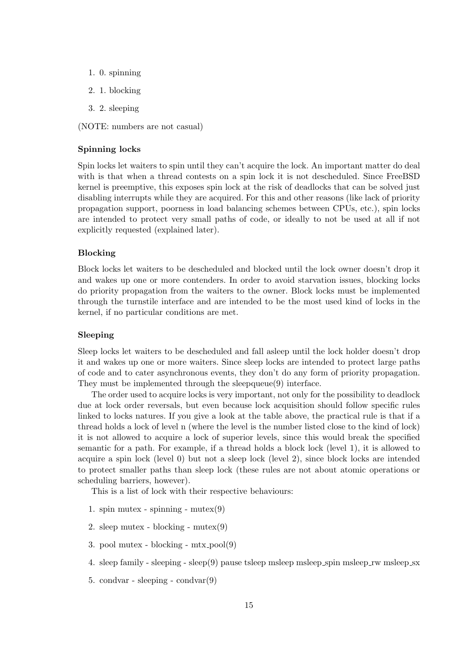- 1. 0. spinning
- 2. 1. blocking
- 3. 2. sleeping

(NOTE: numbers are not casual)

#### Spinning locks

Spin locks let waiters to spin until they can't acquire the lock. An important matter do deal with is that when a thread contests on a spin lock it is not descheduled. Since FreeBSD kernel is preemptive, this exposes spin lock at the risk of deadlocks that can be solved just disabling interrupts while they are acquired. For this and other reasons (like lack of priority propagation support, poorness in load balancing schemes between CPUs, etc.), spin locks are intended to protect very small paths of code, or ideally to not be used at all if not explicitly requested (explained later).

#### Blocking

Block locks let waiters to be descheduled and blocked until the lock owner doesn't drop it and wakes up one or more contenders. In order to avoid starvation issues, blocking locks do priority propagation from the waiters to the owner. Block locks must be implemented through the turnstile interface and are intended to be the most used kind of locks in the kernel, if no particular conditions are met.

# Sleeping

Sleep locks let waiters to be descheduled and fall asleep until the lock holder doesn't drop it and wakes up one or more waiters. Since sleep locks are intended to protect large paths of code and to cater asynchronous events, they don't do any form of priority propagation. They must be implemented through the sleepqueue(9) interface.

The order used to acquire locks is very important, not only for the possibility to deadlock due at lock order reversals, but even because lock acquisition should follow specific rules linked to locks natures. If you give a look at the table above, the practical rule is that if a thread holds a lock of level n (where the level is the number listed close to the kind of lock) it is not allowed to acquire a lock of superior levels, since this would break the specified semantic for a path. For example, if a thread holds a block lock (level 1), it is allowed to acquire a spin lock (level 0) but not a sleep lock (level 2), since block locks are intended to protect smaller paths than sleep lock (these rules are not about atomic operations or scheduling barriers, however).

This is a list of lock with their respective behaviours:

- 1. spin mutex spinning mutex $(9)$
- 2. sleep mutex blocking mutex(9)
- 3. pool mutex blocking  $mix\_pool(9)$
- 4. sleep family sleeping sleep(9) pause tsleep msleep msleep spin msleep rw msleep sx
- 5. condvar sleeping condvar $(9)$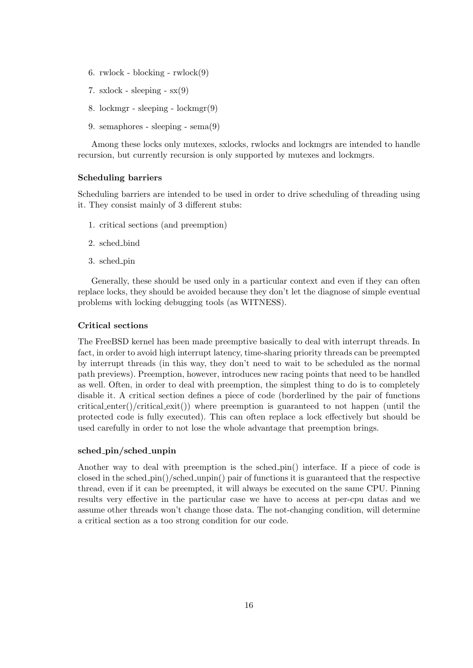- 6. rwlock blocking  $rwlock(9)$
- 7. sxlock sleeping  $sx(9)$
- 8. lockmgr sleeping lockmgr(9)
- 9. semaphores sleeping sema(9)

Among these locks only mutexes, sxlocks, rwlocks and lockmgrs are intended to handle recursion, but currently recursion is only supported by mutexes and lockmgrs.

#### Scheduling barriers

Scheduling barriers are intended to be used in order to drive scheduling of threading using it. They consist mainly of 3 different stubs:

- 1. critical sections (and preemption)
- 2. sched bind
- 3. sched\_pin

Generally, these should be used only in a particular context and even if they can often replace locks, they should be avoided because they don't let the diagnose of simple eventual problems with locking debugging tools (as WITNESS).

# Critical sections

The FreeBSD kernel has been made preemptive basically to deal with interrupt threads. In fact, in order to avoid high interrupt latency, time-sharing priority threads can be preempted by interrupt threads (in this way, they don't need to wait to be scheduled as the normal path previews). Preemption, however, introduces new racing points that need to be handled as well. Often, in order to deal with preemption, the simplest thing to do is to completely disable it. A critical section defines a piece of code (borderlined by the pair of functions critical enter()/critical exit()) where preemption is guaranteed to not happen (until the protected code is fully executed). This can often replace a lock effectively but should be used carefully in order to not lose the whole advantage that preemption brings.

### sched pin/sched unpin

Another way to deal with preemption is the sched pin() interface. If a piece of code is closed in the sched  $\pi$ -pin()/sched unpin() pair of functions it is guaranteed that the respective thread, even if it can be preempted, it will always be executed on the same CPU. Pinning results very effective in the particular case we have to access at per-cpu datas and we assume other threads won't change those data. The not-changing condition, will determine a critical section as a too strong condition for our code.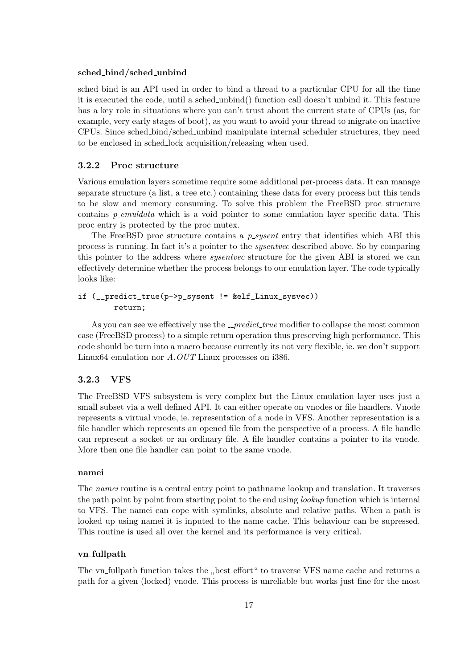#### sched bind/sched unbind

sched bind is an API used in order to bind a thread to a particular CPU for all the time it is executed the code, until a sched unbind() function call doesn't unbind it. This feature has a key role in situations where you can't trust about the current state of CPUs (as, for example, very early stages of boot), as you want to avoid your thread to migrate on inactive CPUs. Since sched bind/sched unbind manipulate internal scheduler structures, they need to be enclosed in sched lock acquisition/releasing when used.

# <span id="page-20-0"></span>3.2.2 Proc structure

Various emulation layers sometime require some additional per-process data. It can manage separate structure (a list, a tree etc.) containing these data for every process but this tends to be slow and memory consuming. To solve this problem the FreeBSD proc structure contains *p\_emuldata* which is a void pointer to some emulation layer specific data. This proc entry is protected by the proc mutex.

The FreeBSD proc structure contains a  $p\_system$  entry that identifies which ABI this process is running. In fact it's a pointer to the sysentvec described above. So by comparing this pointer to the address where sysentvec structure for the given ABI is stored we can effectively determine whether the process belongs to our emulation layer. The code typically looks like:

# if (\_\_predict\_true(p->p\_sysent != &elf\_Linux\_sysvec)) return;

As you can see we effectively use the  $\_predict\_true$  modifier to collapse the most common case (FreeBSD process) to a simple return operation thus preserving high performance. This code should be turn into a macro because currently its not very flexible, ie. we don't support Linux64 emulation nor A.OUT Linux processes on i386.

# <span id="page-20-1"></span>3.2.3 VFS

The FreeBSD VFS subsystem is very complex but the Linux emulation layer uses just a small subset via a well defined API. It can either operate on vnodes or file handlers. Vnode represents a virtual vnode, ie. representation of a node in VFS. Another representation is a file handler which represents an opened file from the perspective of a process. A file handle can represent a socket or an ordinary file. A file handler contains a pointer to its vnode. More then one file handler can point to the same vnode.

# namei

The namei routine is a central entry point to pathname lookup and translation. It traverses the path point by point from starting point to the end using *lookup* function which is internal to VFS. The namei can cope with symlinks, absolute and relative paths. When a path is looked up using namei it is inputed to the name cache. This behaviour can be supressed. This routine is used all over the kernel and its performance is very critical.

# vn fullpath

The vn fullpath function takes the "best effort" to traverse VFS name cache and returns a path for a given (locked) vnode. This process is unreliable but works just fine for the most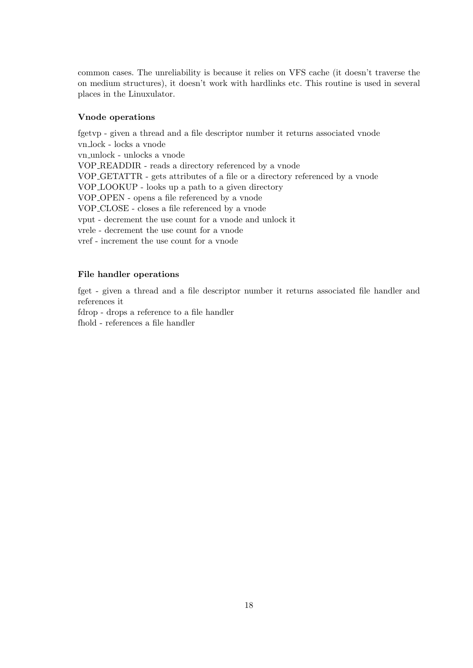common cases. The unreliability is because it relies on VFS cache (it doesn't traverse the on medium structures), it doesn't work with hardlinks etc. This routine is used in several places in the Linuxulator.

# Vnode operations

fgetvp - given a thread and a file descriptor number it returns associated vnode vn lock - locks a vnode vn unlock - unlocks a vnode VOP READDIR - reads a directory referenced by a vnode VOP GETATTR - gets attributes of a file or a directory referenced by a vnode VOP LOOKUP - looks up a path to a given directory VOP OPEN - opens a file referenced by a vnode VOP CLOSE - closes a file referenced by a vnode vput - decrement the use count for a vnode and unlock it vrele - decrement the use count for a vnode vref - increment the use count for a vnode

# File handler operations

fget - given a thread and a file descriptor number it returns associated file handler and references it

fdrop - drops a reference to a file handler

fhold - references a file handler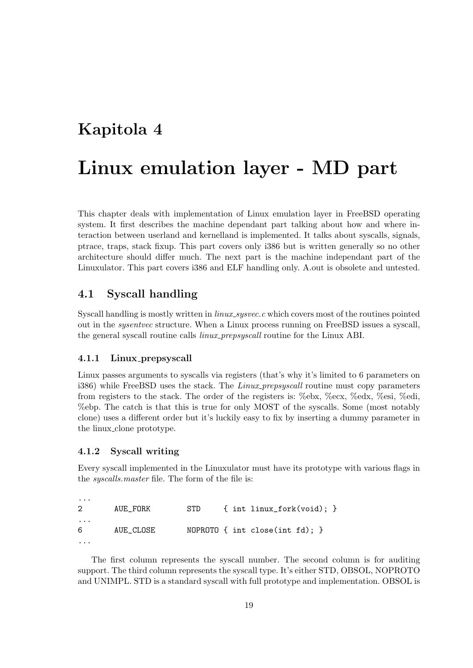# <span id="page-22-0"></span>Kapitola 4

# Linux emulation layer - MD part

This chapter deals with implementation of Linux emulation layer in FreeBSD operating system. It first describes the machine dependant part talking about how and where interaction between userland and kernelland is implemented. It talks about syscalls, signals, ptrace, traps, stack fixup. This part covers only i386 but is written generally so no other architecture should differ much. The next part is the machine independant part of the Linuxulator. This part covers i386 and ELF handling only. A.out is obsolete and untested.

# <span id="page-22-1"></span>4.1 Syscall handling

Syscall handling is mostly written in *linux\_sysvec.c* which covers most of the routines pointed out in the sysentvec structure. When a Linux process running on FreeBSD issues a syscall, the general syscall routine calls linux prepsyscall routine for the Linux ABI.

# <span id="page-22-2"></span>4.1.1 Linux prepsyscall

Linux passes arguments to syscalls via registers (that's why it's limited to 6 parameters on i386) while FreeBSD uses the stack. The *Linux prepsyscall* routine must copy parameters from registers to the stack. The order of the registers is: %ebx, %ecx, %edx, %esi, %edi, %ebp. The catch is that this is true for only MOST of the syscalls. Some (most notably clone) uses a different order but it's luckily easy to fix by inserting a dummy parameter in the linux clone prototype.

## <span id="page-22-3"></span>4.1.2 Syscall writing

Every syscall implemented in the Linuxulator must have its prototype with various flags in the syscalls.master file. The form of the file is:

| $\cdots$<br>$2^{\circ}$ | AUE_FORK  | STD | $\{$ int linux_fork(void); $\}$      |
|-------------------------|-----------|-----|--------------------------------------|
| $\cdots$<br>6           | AUE CLOSE |     | NOPROTO $\{$ int close(int fd); $\}$ |
|                         |           |     |                                      |

The first column represents the syscall number. The second column is for auditing support. The third column represents the syscall type. It's either STD, OBSOL, NOPROTO and UNIMPL. STD is a standard syscall with full prototype and implementation. OBSOL is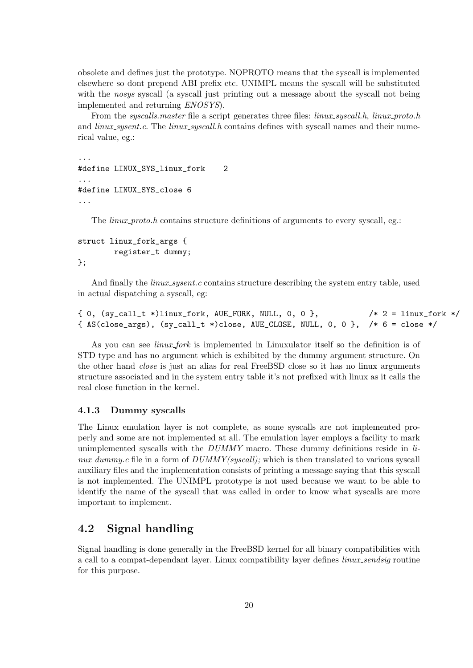obsolete and defines just the prototype. NOPROTO means that the syscall is implemented elsewhere so dont prepend ABI prefix etc. UNIMPL means the syscall will be substituted with the nosys syscall (a syscall just printing out a message about the syscall not being implemented and returning ENOSYS).

From the *syscalls.master* file a script generates three files: *linux\_syscall.h, linux\_proto.h* and *linux\_sysent.c.* The *linux\_syscall.h* contains defines with syscall names and their numerical value, eg.:

```
...
#define LINUX_SYS_linux_fork 2
...
#define LINUX_SYS_close 6
...
```
The *linux-proto.h* contains structure definitions of arguments to every syscall, eg.:

```
struct linux_fork_args {
        register_t dummy;
};
```
And finally the  $\lim_{x\to\infty}$  surface contains structure describing the system entry table, used in actual dispatching a syscall, eg:

```
\{ 0, (sy\_call_t *)linux_fork, AUE_FORK, NULL, 0, 0 \}, /* 2 = linux_fork */
{ AS(close_args), (sy_call_t *)close, AUE_CLOSE, NULL, 0, 0 }, /* 6 = close */
```
As you can see *linux\_fork* is implemented in Linuxulator itself so the definition is of STD type and has no argument which is exhibited by the dummy argument structure. On the other hand close is just an alias for real FreeBSD close so it has no linux arguments structure associated and in the system entry table it's not prefixed with linux as it calls the real close function in the kernel.

## <span id="page-23-0"></span>4.1.3 Dummy syscalls

The Linux emulation layer is not complete, as some syscalls are not implemented properly and some are not implemented at all. The emulation layer employs a facility to mark unimplemented syscalls with the  $DUMMY$  macro. These dummy definitions reside in linux dummy.c file in a form of  $DUMMY(syscall)$ ; which is then translated to various syscall auxiliary files and the implementation consists of printing a message saying that this syscall is not implemented. The UNIMPL prototype is not used because we want to be able to identify the name of the syscall that was called in order to know what syscalls are more important to implement.

# <span id="page-23-1"></span>4.2 Signal handling

Signal handling is done generally in the FreeBSD kernel for all binary compatibilities with a call to a compat-dependant layer. Linux compatibility layer defines *linux sendsig* routine for this purpose.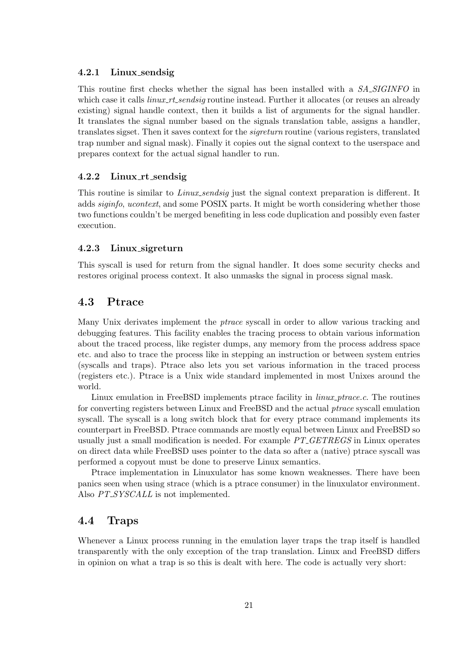## <span id="page-24-0"></span>4.2.1 Linux sendsig

This routine first checks whether the signal has been installed with a SA\_SIGINFO in which case it calls *linux\_rt\_sendsig* routine instead. Further it allocates (or reuses an already existing) signal handle context, then it builds a list of arguments for the signal handler. It translates the signal number based on the signals translation table, assigns a handler, translates sigset. Then it saves context for the sigreturn routine (various registers, translated trap number and signal mask). Finally it copies out the signal context to the userspace and prepares context for the actual signal handler to run.

# <span id="page-24-1"></span>4.2.2 Linux rt sendsig

This routine is similar to *Linux sendsig* just the signal context preparation is different. It adds siginfo, ucontext, and some POSIX parts. It might be worth considering whether those two functions couldn't be merged benefiting in less code duplication and possibly even faster execution.

# <span id="page-24-2"></span>4.2.3 Linux sigreturn

This syscall is used for return from the signal handler. It does some security checks and restores original process context. It also unmasks the signal in process signal mask.

# <span id="page-24-3"></span>4.3 Ptrace

Many Unix derivates implement the ptrace syscall in order to allow various tracking and debugging features. This facility enables the tracing process to obtain various information about the traced process, like register dumps, any memory from the process address space etc. and also to trace the process like in stepping an instruction or between system entries (syscalls and traps). Ptrace also lets you set various information in the traced process (registers etc.). Ptrace is a Unix wide standard implemented in most Unixes around the world.

Linux emulation in FreeBSD implements ptrace facility in *linux ptrace.c.* The routines for converting registers between Linux and FreeBSD and the actual ptrace syscall emulation syscall. The syscall is a long switch block that for every ptrace command implements its counterpart in FreeBSD. Ptrace commands are mostly equal between Linux and FreeBSD so usually just a small modification is needed. For example  $PT\_GETREGS$  in Linux operates on direct data while FreeBSD uses pointer to the data so after a (native) ptrace syscall was performed a copyout must be done to preserve Linux semantics.

Ptrace implementation in Linuxulator has some known weaknesses. There have been panics seen when using strace (which is a ptrace consumer) in the linuxulator environment. Also  $PT\_SYSCALL$  is not implemented.

# <span id="page-24-4"></span>4.4 Traps

Whenever a Linux process running in the emulation layer traps the trap itself is handled transparently with the only exception of the trap translation. Linux and FreeBSD differs in opinion on what a trap is so this is dealt with here. The code is actually very short: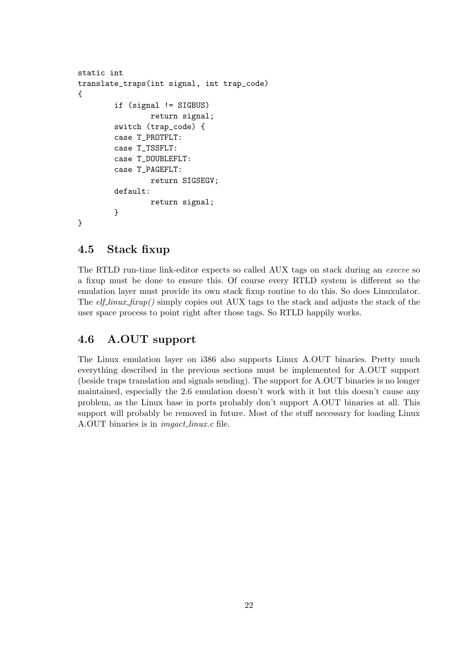```
static int
translate_traps(int signal, int trap_code)
{
        if (signal != SIGBUS)
                return signal;
        switch (trap_code) {
        case T_PROTFLT:
        case T_TSSFLT:
        case T_DOUBLEFLT:
        case T_PAGEFLT:
                return SIGSEGV;
        default:
                return signal;
        }
}
```
# <span id="page-25-0"></span>4.5 Stack fixup

The RTLD run-time link-editor expects so called AUX tags on stack during an execve so a fixup must be done to ensure this. Of course every RTLD system is different so the emulation layer must provide its own stack fixup routine to do this. So does Linuxulator. The  $elf\_linux\_fixup()$  simply copies out AUX tags to the stack and adjusts the stack of the user space process to point right after those tags. So RTLD happily works.

# <span id="page-25-1"></span>4.6 A.OUT support

The Linux emulation layer on i386 also supports Linux A.OUT binaries. Pretty much everything described in the previous sections must be implemented for A.OUT support (beside traps translation and signals sending). The support for A.OUT binaries is no longer maintained, especially the 2.6 emulation doesn't work with it but this doesn't cause any problem, as the Linux base in ports probably don't support A.OUT binaries at all. This support will probably be removed in future. Most of the stuff necessary for loading Linux A.OUT binaries is in imgact linux.c file.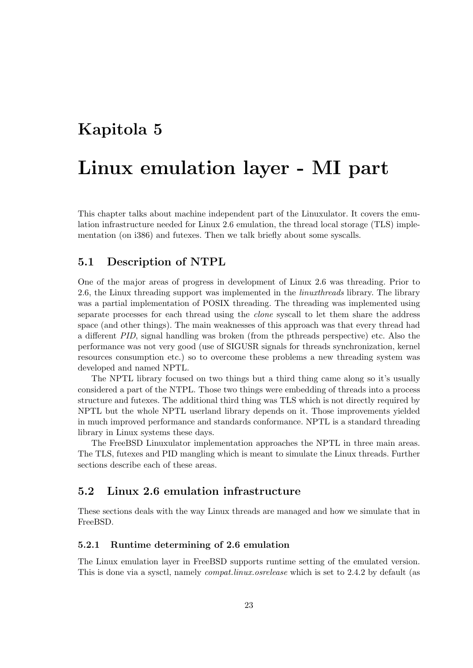# <span id="page-26-0"></span>Kapitola 5

# Linux emulation layer - MI part

This chapter talks about machine independent part of the Linuxulator. It covers the emulation infrastructure needed for Linux 2.6 emulation, the thread local storage (TLS) implementation (on i386) and futexes. Then we talk briefly about some syscalls.

# <span id="page-26-1"></span>5.1 Description of NTPL

One of the major areas of progress in development of Linux 2.6 was threading. Prior to 2.6, the Linux threading support was implemented in the *linuxthreads* library. The library was a partial implementation of POSIX threading. The threading was implemented using separate processes for each thread using the clone syscall to let them share the address space (and other things). The main weaknesses of this approach was that every thread had a different PID, signal handling was broken (from the pthreads perspective) etc. Also the performance was not very good (use of SIGUSR signals for threads synchronization, kernel resources consumption etc.) so to overcome these problems a new threading system was developed and named NPTL.

The NPTL library focused on two things but a third thing came along so it's usually considered a part of the NTPL. Those two things were embedding of threads into a process structure and futexes. The additional third thing was TLS which is not directly required by NPTL but the whole NPTL userland library depends on it. Those improvements yielded in much improved performance and standards conformance. NPTL is a standard threading library in Linux systems these days.

The FreeBSD Linuxulator implementation approaches the NPTL in three main areas. The TLS, futexes and PID mangling which is meant to simulate the Linux threads. Further sections describe each of these areas.

# <span id="page-26-2"></span>5.2 Linux 2.6 emulation infrastructure

These sections deals with the way Linux threads are managed and how we simulate that in FreeBSD.

# <span id="page-26-3"></span>5.2.1 Runtime determining of 2.6 emulation

The Linux emulation layer in FreeBSD supports runtime setting of the emulated version. This is done via a sysetl, namely *compat.linux.osrelease* which is set to 2.4.2 by default (as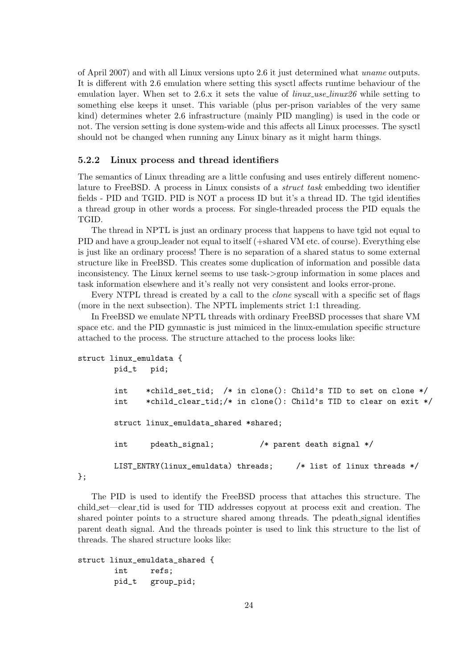of April 2007) and with all Linux versions upto 2.6 it just determined what uname outputs. It is different with 2.6 emulation where setting this sysctl affects runtime behaviour of the emulation layer. When set to 2.6.x it sets the value of  $\lim_{x\to\infty} \lim_{x\to\infty}$  while setting to something else keeps it unset. This variable (plus per-prison variables of the very same kind) determines wheter 2.6 infrastructure (mainly PID mangling) is used in the code or not. The version setting is done system-wide and this affects all Linux processes. The sysctl should not be changed when running any Linux binary as it might harm things.

## <span id="page-27-0"></span>5.2.2 Linux process and thread identifiers

The semantics of Linux threading are a little confusing and uses entirely different nomenclature to FreeBSD. A process in Linux consists of a struct task embedding two identifier fields - PID and TGID. PID is NOT a process ID but it's a thread ID. The tgid identifies a thread group in other words a process. For single-threaded process the PID equals the TGID.

The thread in NPTL is just an ordinary process that happens to have tgid not equal to PID and have a group leader not equal to itself (+shared VM etc. of course). Everything else is just like an ordinary process! There is no separation of a shared status to some external structure like in FreeBSD. This creates some duplication of information and possible data inconsistency. The Linux kernel seems to use task->group information in some places and task information elsewhere and it's really not very consistent and looks error-prone.

Every NTPL thread is created by a call to the *clone* syscall with a specific set of flags (more in the next subsection). The NPTL implements strict 1:1 threading.

In FreeBSD we emulate NPTL threads with ordinary FreeBSD processes that share VM space etc. and the PID gymnastic is just mimiced in the linux-emulation specific structure attached to the process. The structure attached to the process looks like:

```
struct linux_emuldata {
       pid_t pid;
       int *child_set_tid; /* in clone(): Child's TID to set on clone */
       int *child_clear_tid;/* in clone(): Child's TID to clear on exit */
       struct linux emuldata shared *shared:
       int pdeath_signal; /* parent death signal */
       LIST_ENTRY(linux_emuldata) threads; /* list of linux threads */
```
};

The PID is used to identify the FreeBSD process that attaches this structure. The child set—clear tid is used for TID addresses copyout at process exit and creation. The shared pointer points to a structure shared among threads. The pdeath signal identifies parent death signal. And the threads pointer is used to link this structure to the list of threads. The shared structure looks like:

```
struct linux_emuldata_shared {
       int refs;
       pid_t group_pid;
```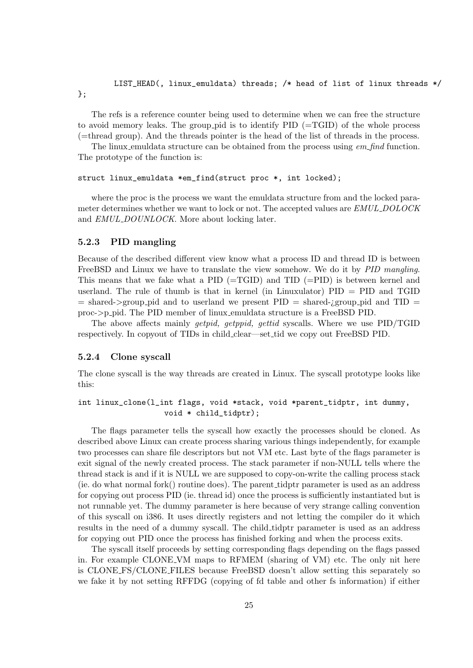# LIST\_HEAD(, linux\_emuldata) threads; /\* head of list of linux threads \*/

};

The refs is a reference counter being used to determine when we can free the structure to avoid memory leaks. The group pid is to identify PID (=TGID) of the whole process (=thread group). And the threads pointer is the head of the list of threads in the process.

The linux emuldata structure can be obtained from the process using em find function. The prototype of the function is:

#### struct linux\_emuldata \*em\_find(struct proc \*, int locked);

where the proc is the process we want the emuldata structure from and the locked parameter determines whether we want to lock or not. The accepted values are EMUL DOLOCK and *EMUL\_DOUNLOCK*. More about locking later.

# <span id="page-28-0"></span>5.2.3 PID mangling

Because of the described different view know what a process ID and thread ID is between FreeBSD and Linux we have to translate the view somehow. We do it by PID mangling. This means that we fake what a PID  $(=\text{TGID})$  and TID  $(=\text{PID})$  is between kernel and userland. The rule of thumb is that in kernel (in Linuxulator)  $PID = PID$  and  $TGID$  $=$  shared- $>$ group pid and to userland we present PID  $=$  shared-*jgroup* pid and TID  $=$ proc->p pid. The PID member of linux emuldata structure is a FreeBSD PID.

The above affects mainly getpid, getppid, gettid syscalls. Where we use PID/TGID respectively. In copyout of TIDs in child clear—set tid we copy out FreeBSD PID.

## <span id="page-28-1"></span>5.2.4 Clone syscall

The clone syscall is the way threads are created in Linux. The syscall prototype looks like this:

```
int linux_clone(l_int flags, void *stack, void *parent_tidptr, int dummy,
                   void * child_tidptr);
```
The flags parameter tells the syscall how exactly the processes should be cloned. As described above Linux can create process sharing various things independently, for example two processes can share file descriptors but not VM etc. Last byte of the flags parameter is exit signal of the newly created process. The stack parameter if non-NULL tells where the thread stack is and if it is NULL we are supposed to copy-on-write the calling process stack (ie. do what normal fork() routine does). The parent tidptr parameter is used as an address for copying out process PID (ie. thread id) once the process is sufficiently instantiated but is not runnable yet. The dummy parameter is here because of very strange calling convention of this syscall on i386. It uses directly registers and not letting the compiler do it which results in the need of a dummy syscall. The child tidptr parameter is used as an address for copying out PID once the process has finished forking and when the process exits.

The syscall itself proceeds by setting corresponding flags depending on the flags passed in. For example CLONE VM maps to RFMEM (sharing of VM) etc. The only nit here is CLONE FS/CLONE FILES because FreeBSD doesn't allow setting this separately so we fake it by not setting RFFDG (copying of fd table and other fs information) if either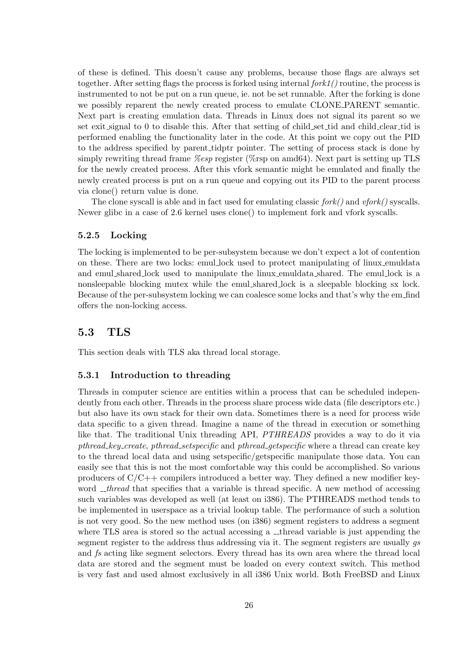of these is defined. This doesn't cause any problems, because those flags are always set together. After setting flags the process is forked using internal  $fork1()$  routine, the process is instrumented to not be put on a run queue, ie. not be set runnable. After the forking is done we possibly reparent the newly created process to emulate CLONE PARENT semantic. Next part is creating emulation data. Threads in Linux does not signal its parent so we set exit signal to 0 to disable this. After that setting of child set tid and child clear tid is performed enabling the functionality later in the code. At this point we copy out the PID to the address specified by parent tidptr pointer. The setting of process stack is done by simply rewriting thread frame *%esp* register (%rsp on amd64). Next part is setting up TLS for the newly created process. After this vfork semantic might be emulated and finally the newly created process is put on a run queue and copying out its PID to the parent process via clone() return value is done.

The clone syscall is able and in fact used for emulating classic  $fork()$  and  $vfork()$  syscalls. Newer glibc in a case of 2.6 kernel uses clone() to implement fork and vfork syscalls.

# <span id="page-29-0"></span>5.2.5 Locking

The locking is implemented to be per-subsystem because we don't expect a lot of contention on these. There are two locks: emul lock used to protect manipulating of linux emuldata and emul shared lock used to manipulate the linux emuldata shared. The emul lock is a nonsleepable blocking mutex while the emul shared lock is a sleepable blocking sx lock. Because of the per-subsystem locking we can coalesce some locks and that's why the em find offers the non-locking access.

# <span id="page-29-1"></span>5.3 TLS

This section deals with TLS aka thread local storage.

## <span id="page-29-2"></span>5.3.1 Introduction to threading

Threads in computer science are entities within a process that can be scheduled independently from each other. Threads in the process share process wide data (file descriptors etc.) but also have its own stack for their own data. Sometimes there is a need for process wide data specific to a given thread. Imagine a name of the thread in execution or something like that. The traditional Unix threading API, PTHREADS provides a way to do it via pthread key create, pthread setspecific and pthread getspecific where a thread can create key to the thread local data and using setspecific/getspecific manipulate those data. You can easily see that this is not the most comfortable way this could be accomplished. So various producers of  $C/C++$  compilers introduced a better way. They defined a new modifier keyword  $\pm$ thread that specifies that a variable is thread specific. A new method of accessing such variables was developed as well (at least on i386). The PTHREADS method tends to be implemented in userspace as a trivial lookup table. The performance of such a solution is not very good. So the new method uses (on i386) segment registers to address a segment where TLS area is stored so the actual accessing a  $\Box$  thread variable is just appending the segment register to the address thus addressing via it. The segment registers are usually qs and fs acting like segment selectors. Every thread has its own area where the thread local data are stored and the segment must be loaded on every context switch. This method is very fast and used almost exclusively in all i386 Unix world. Both FreeBSD and Linux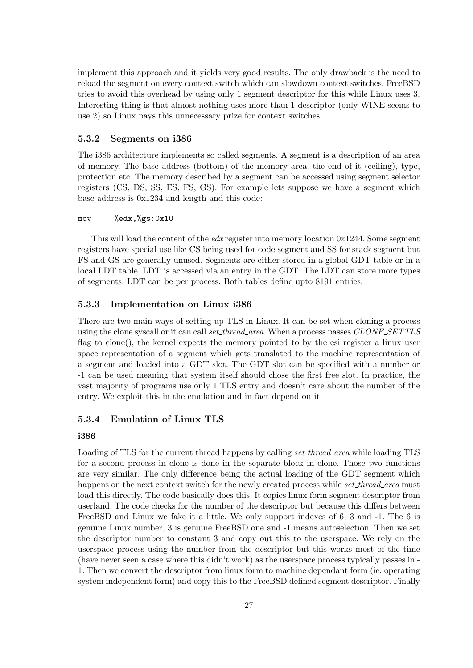implement this approach and it yields very good results. The only drawback is the need to reload the segment on every context switch which can slowdown context switches. FreeBSD tries to avoid this overhead by using only 1 segment descriptor for this while Linux uses 3. Interesting thing is that almost nothing uses more than 1 descriptor (only WINE seems to use 2) so Linux pays this unnecessary prize for context switches.

## <span id="page-30-0"></span>5.3.2 Segments on i386

The i386 architecture implements so called segments. A segment is a description of an area of memory. The base address (bottom) of the memory area, the end of it (ceiling), type, protection etc. The memory described by a segment can be accessed using segment selector registers (CS, DS, SS, ES, FS, GS). For example lets suppose we have a segment which base address is 0x1234 and length and this code:

## mov %edx,%gs:0x10

This will load the content of the *edx* register into memory location  $0x1244$ . Some segment registers have special use like CS being used for code segment and SS for stack segment but FS and GS are generally unused. Segments are either stored in a global GDT table or in a local LDT table. LDT is accessed via an entry in the GDT. The LDT can store more types of segments. LDT can be per process. Both tables define upto 8191 entries.

# <span id="page-30-1"></span>5.3.3 Implementation on Linux i386

There are two main ways of setting up TLS in Linux. It can be set when cloning a process using the clone syscall or it can call set thread area. When a process passes CLONE SETTLS flag to clone(), the kernel expects the memory pointed to by the esi register a linux user space representation of a segment which gets translated to the machine representation of a segment and loaded into a GDT slot. The GDT slot can be specified with a number or -1 can be used meaning that system itself should chose the first free slot. In practice, the vast majority of programs use only 1 TLS entry and doesn't care about the number of the entry. We exploit this in the emulation and in fact depend on it.

# <span id="page-30-2"></span>5.3.4 Emulation of Linux TLS

#### i386

Loading of TLS for the current thread happens by calling set thread area while loading TLS for a second process in clone is done in the separate block in clone. Those two functions are very similar. The only difference being the actual loading of the GDT segment which happens on the next context switch for the newly created process while *set\_thread\_area* must load this directly. The code basically does this. It copies linux form segment descriptor from userland. The code checks for the number of the descriptor but because this differs between FreeBSD and Linux we fake it a little. We only support indexes of 6, 3 and -1. The 6 is genuine Linux number, 3 is genuine FreeBSD one and -1 means autoselection. Then we set the descriptor number to constant 3 and copy out this to the userspace. We rely on the userspace process using the number from the descriptor but this works most of the time (have never seen a case where this didn't work) as the userspace process typically passes in - 1. Then we convert the descriptor from linux form to machine dependant form (ie. operating system independent form) and copy this to the FreeBSD defined segment descriptor. Finally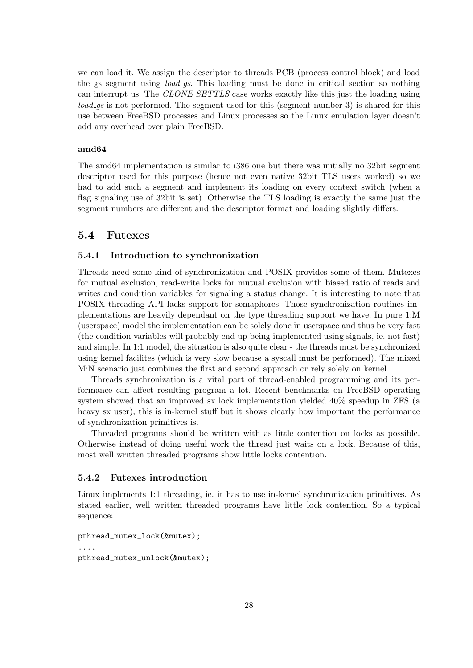we can load it. We assign the descriptor to threads PCB (process control block) and load the gs segment using *load\_qs*. This loading must be done in critical section so nothing can interrupt us. The CLONE SETTLS case works exactly like this just the loading using load gs is not performed. The segment used for this (segment number 3) is shared for this use between FreeBSD processes and Linux processes so the Linux emulation layer doesn't add any overhead over plain FreeBSD.

### amd64

The amd64 implementation is similar to i386 one but there was initially no 32bit segment descriptor used for this purpose (hence not even native 32bit TLS users worked) so we had to add such a segment and implement its loading on every context switch (when a flag signaling use of 32bit is set). Otherwise the TLS loading is exactly the same just the segment numbers are different and the descriptor format and loading slightly differs.

# <span id="page-31-0"></span>5.4 Futexes

# <span id="page-31-1"></span>5.4.1 Introduction to synchronization

Threads need some kind of synchronization and POSIX provides some of them. Mutexes for mutual exclusion, read-write locks for mutual exclusion with biased ratio of reads and writes and condition variables for signaling a status change. It is interesting to note that POSIX threading API lacks support for semaphores. Those synchronization routines implementations are heavily dependant on the type threading support we have. In pure 1:M (userspace) model the implementation can be solely done in userspace and thus be very fast (the condition variables will probably end up being implemented using signals, ie. not fast) and simple. In 1:1 model, the situation is also quite clear - the threads must be synchronized using kernel facilites (which is very slow because a syscall must be performed). The mixed M:N scenario just combines the first and second approach or rely solely on kernel.

Threads synchronization is a vital part of thread-enabled programming and its performance can affect resulting program a lot. Recent benchmarks on FreeBSD operating system showed that an improved sx lock implementation yielded 40% speedup in ZFS (a heavy sx user), this is in-kernel stuff but it shows clearly how important the performance of synchronization primitives is.

Threaded programs should be written with as little contention on locks as possible. Otherwise instead of doing useful work the thread just waits on a lock. Because of this, most well written threaded programs show little locks contention.

# <span id="page-31-2"></span>5.4.2 Futexes introduction

Linux implements 1:1 threading, ie. it has to use in-kernel synchronization primitives. As stated earlier, well written threaded programs have little lock contention. So a typical sequence:

```
pthread_mutex_lock(&mutex);
....
pthread_mutex_unlock(&mutex);
```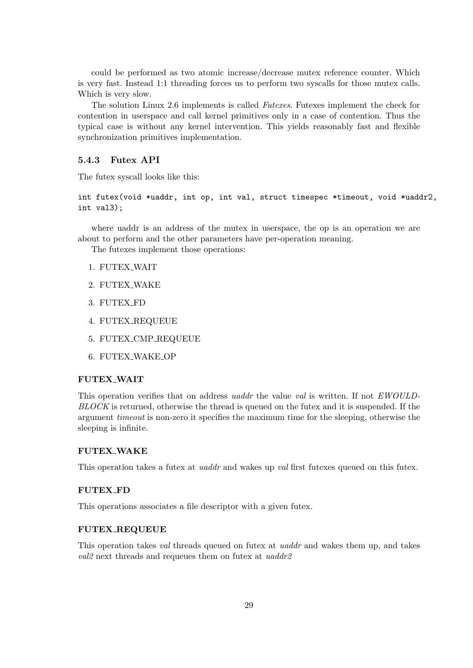could be performed as two atomic increase/decrease mutex reference counter. Which is very fast. Instead 1:1 threading forces us to perform two syscalls for those mutex calls. Which is very slow.

The solution Linux 2.6 implements is called Futexes. Futexes implement the check for contention in userspace and call kernel primitives only in a case of contention. Thus the typical case is without any kernel intervention. This yields reasonably fast and flexible synchronization primitives implementation.

# <span id="page-32-0"></span>5.4.3 Futex API

The futex syscall looks like this:

int futex(void \*uaddr, int op, int val, struct timespec \*timeout, void \*uaddr2, int val3);

where uaddr is an address of the mutex in userspace, the op is an operation we are about to perform and the other parameters have per-operation meaning.

The futexes implement those operations:

- 1. FUTEX WAIT
- 2. FUTEX WAKE
- 3. FUTEX FD
- 4. FUTEX REQUEUE
- 5. FUTEX CMP REQUEUE
- 6. FUTEX WAKE OP

# FUTEX WAIT

This operation verifies that on address *uaddr* the value val is written. If not *EWOULD*-BLOCK is returned, otherwise the thread is queued on the futex and it is suspended. If the argument timeout is non-zero it specifies the maximum time for the sleeping, otherwise the sleeping is infinite.

#### FUTEX WAKE

This operation takes a futex at *uaddr* and wakes up val first futexes queued on this futex.

# FUTEX FD

This operations associates a file descriptor with a given futex.

#### FUTEX REQUEUE

This operation takes val threads queued on futex at *uaddr* and wakes them up, and takes val<sub>2</sub> next threads and requeues them on futex at uaddr<sub>2</sub>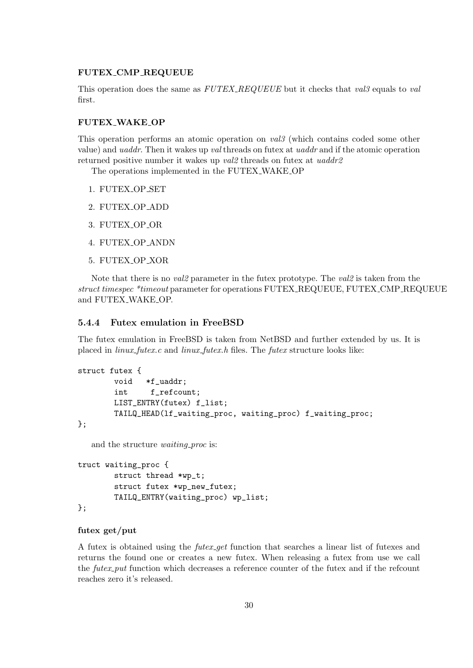### FUTEX CMP REQUEUE

This operation does the same as  $FUTEX\_REQUEUE$  but it checks that val<sub>3</sub> equals to val first.

#### FUTEX WAKE OP

This operation performs an atomic operation on val3 (which contains coded some other value) and uaddr. Then it wakes up val threads on futex at uaddr and if the atomic operation returned positive number it wakes up val<sub>2</sub> threads on futex at uaddr<sub>2</sub>

The operations implemented in the FUTEX WAKE OP

- 1. FUTEX OP SET
- 2. FUTEX OP ADD
- 3. FUTEX OP OR
- 4. FUTEX OP ANDN
- 5. FUTEX OP XOR

Note that there is no *val2* parameter in the futex prototype. The *val2* is taken from the struct timespec \*timeout parameter for operations FUTEX REQUEUE, FUTEX CMP REQUEUE and FUTEX WAKE OP.

### <span id="page-33-0"></span>5.4.4 Futex emulation in FreeBSD

The futex emulation in FreeBSD is taken from NetBSD and further extended by us. It is placed in  $\lim_{x \to \infty}$  futes.c and  $\lim_{x \to \infty}$  futes. The futes structure looks like:

```
struct futex {
       void *f_uaddr;
       int f_refcount;
       LIST_ENTRY(futex) f_list;
       TAILQ_HEAD(lf_waiting_proc, waiting_proc) f_waiting_proc;
};
```
and the structure *waiting proc* is:

```
truct waiting_proc {
        struct thread *wp_t;
        struct futex *wp_new_futex;
        TAILQ_ENTRY(waiting_proc) wp_list;
};
```
# futex get/put

A futex is obtained using the *futex get* function that searches a linear list of futexes and returns the found one or creates a new futex. When releasing a futex from use we call the *futex\_put* function which decreases a reference counter of the futex and if the refcount reaches zero it's released.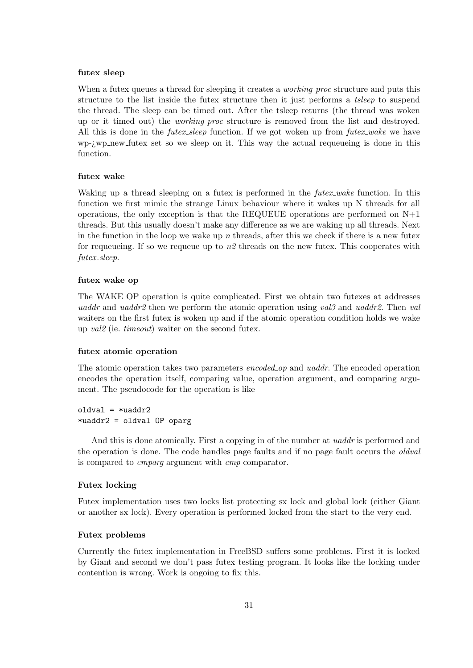#### futex sleep

When a futex queues a thread for sleeping it creates a *working-proc* structure and puts this structure to the list inside the futex structure then it just performs a tsleep to suspend the thread. The sleep can be timed out. After the tsleep returns (the thread was woken up or it timed out) the *working proc* structure is removed from the list and destroyed. All this is done in the  $futes\_sleep$  function. If we got woken up from  $futes\_wake$  we have wp-¿wp new futex set so we sleep on it. This way the actual requeueing is done in this function.

# futex wake

Waking up a thread sleeping on a futex is performed in the *futex-wake* function. In this function we first mimic the strange Linux behaviour where it wakes up N threads for all operations, the only exception is that the REQUEUE operations are performed on N+1 threads. But this usually doesn't make any difference as we are waking up all threads. Next in the function in the loop we wake up n threads, after this we check if there is a new futex for requeueing. If so we requeue up to  $n\ell$  threads on the new futex. This cooperates with futex\_sleep.

#### futex wake op

The WAKE OP operation is quite complicated. First we obtain two futexes at addresses uaddr and uaddr2 then we perform the atomic operation using val<sub>3</sub> and uaddr2. Then val waiters on the first futex is woken up and if the atomic operation condition holds we wake up val2 (ie. timeout) waiter on the second futex.

#### futex atomic operation

The atomic operation takes two parameters encoded op and uaddr. The encoded operation encodes the operation itself, comparing value, operation argument, and comparing argument. The pseudocode for the operation is like

# $oldval = *uaddr2$ \*uaddr2 = oldval OP oparg

And this is done atomically. First a copying in of the number at *uaddr* is performed and the operation is done. The code handles page faults and if no page fault occurs the *oldval* is compared to cmparg argument with cmp comparator.

#### Futex locking

Futex implementation uses two locks list protecting sx lock and global lock (either Giant or another sx lock). Every operation is performed locked from the start to the very end.

### Futex problems

Currently the futex implementation in FreeBSD suffers some problems. First it is locked by Giant and second we don't pass futex testing program. It looks like the locking under contention is wrong. Work is ongoing to fix this.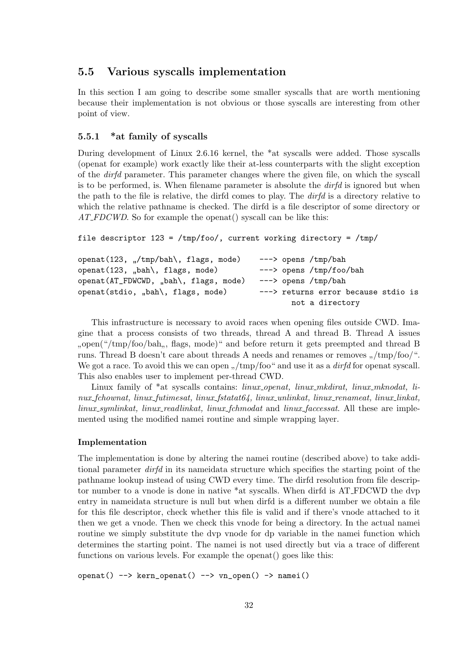# <span id="page-35-0"></span>5.5 Various syscalls implementation

In this section I am going to describe some smaller syscalls that are worth mentioning because their implementation is not obvious or those syscalls are interesting from other point of view.

# <span id="page-35-1"></span>5.5.1 \*at family of syscalls

During development of Linux 2.6.16 kernel, the \*at syscalls were added. Those syscalls (openat for example) work exactly like their at-less counterparts with the slight exception of the dirfd parameter. This parameter changes where the given file, on which the syscall is to be performed, is. When filename parameter is absolute the  $\text{dirfd}$  is ignored but when the path to the file is relative, the dirfd comes to play. The dirfd is a directory relative to which the relative pathname is checked. The dirfd is a file descriptor of some directory or AT\_FDCWD. So for example the openat() syscall can be like this:

```
file descriptor 123 = /tmp/foo/, current working directory = /tmp/
```

```
openat(123, "/tmp/bah\, flags, mode) ---> opens /tmp/bah
openat(123, \mubah), flags, mode)
                                          ---> opens /tmp/foo/bah
openat(AT_FDWCWD, "bah\, flags, mode)
                                          ---> opens /tmp/bah
openat(stdio, <sub>n</sub>bah\, flags, mode)
                                          ---> returns error because stdio is
                                                 not a directory
```
This infrastructure is necessary to avoid races when opening files outside CWD. Imagine that a process consists of two threads, thread A and thread B. Thread A issues where the contract of the contract of the contract of the contract of the contract of the contract of the contract of the contract of the contract of the contract of the contract of the contract of the contract of the cont open("/tmp/foo/bah,, flags, mode)" and before return it gets preempted and thread B We got a race. To avoid this we can open  $\frac{1}{n}$  /tmp/foo" and use it as a *dirfd* for openat syscall. This also enables user to implement per-thread CWD.

Linux family of \*at syscalls contains: *linux openat, linux mkdirat, linux mknodat, li* $nux_f$ chownat, linux futimesat, linux fstatat $64$ , linux unlinkat, linux renameat, linux linkat,  $\lim_{x\to\infty}$  symlinkat, linux readlinkat, linux formulated and linux faces at All these are implemented using the modified namei routine and simple wrapping layer.

#### Implementation

The implementation is done by altering the namei routine (described above) to take additional parameter dirfd in its nameidata structure which specifies the starting point of the pathname lookup instead of using CWD every time. The dirfd resolution from file descriptor number to a vnode is done in native \*at syscalls. When dirfd is AT FDCWD the dvp entry in nameidata structure is null but when dirfd is a different number we obtain a file for this file descriptor, check whether this file is valid and if there's vnode attached to it then we get a vnode. Then we check this vnode for being a directory. In the actual namei routine we simply substitute the dvp vnode for dp variable in the namei function which determines the starting point. The namei is not used directly but via a trace of different functions on various levels. For example the openat() goes like this:

openat() --> kern\_openat() --> vn\_open() -> namei()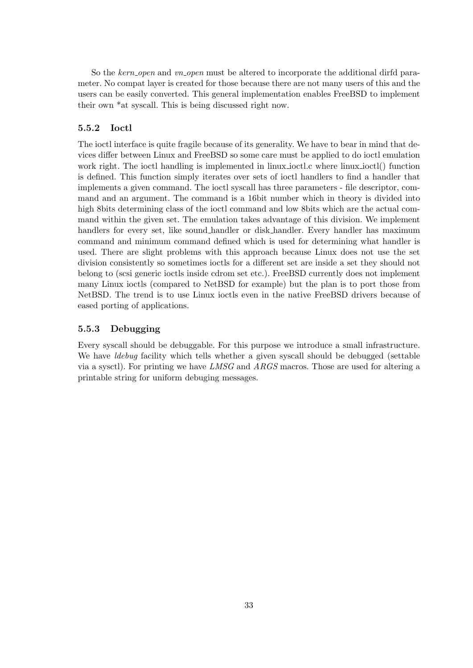So the kern open and vn open must be altered to incorporate the additional dirfd parameter. No compat layer is created for those because there are not many users of this and the users can be easily converted. This general implementation enables FreeBSD to implement their own \*at syscall. This is being discussed right now.

# <span id="page-36-0"></span>5.5.2 Ioctl

The ioctl interface is quite fragile because of its generality. We have to bear in mind that devices differ between Linux and FreeBSD so some care must be applied to do ioctl emulation work right. The ioctl handling is implemented in linux ioctl.c where linux ioctl() function is defined. This function simply iterates over sets of ioctl handlers to find a handler that implements a given command. The ioctl syscall has three parameters - file descriptor, command and an argument. The command is a 16bit number which in theory is divided into high 8bits determining class of the ioctl command and low 8bits which are the actual command within the given set. The emulation takes advantage of this division. We implement handlers for every set, like sound handler or disk handler. Every handler has maximum command and minimum command defined which is used for determining what handler is used. There are slight problems with this approach because Linux does not use the set division consistently so sometimes ioctls for a different set are inside a set they should not belong to (scsi generic ioctls inside cdrom set etc.). FreeBSD currently does not implement many Linux ioctls (compared to NetBSD for example) but the plan is to port those from NetBSD. The trend is to use Linux ioctls even in the native FreeBSD drivers because of eased porting of applications.

# <span id="page-36-1"></span>5.5.3 Debugging

Every syscall should be debuggable. For this purpose we introduce a small infrastructure. We have *ldebug* facility which tells whether a given syscall should be debugged (settable via a sysctl). For printing we have LMSG and ARGS macros. Those are used for altering a printable string for uniform debuging messages.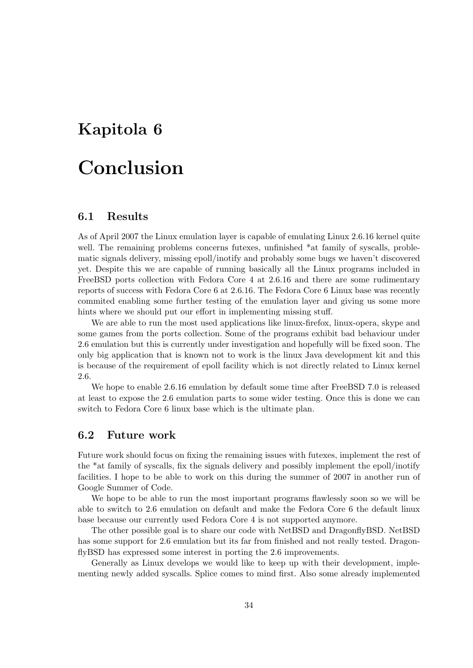# <span id="page-37-0"></span>Kapitola 6

# Conclusion

# <span id="page-37-1"></span>6.1 Results

As of April 2007 the Linux emulation layer is capable of emulating Linux 2.6.16 kernel quite well. The remaining problems concerns futexes, unfinished \*at family of syscalls, problematic signals delivery, missing epoll/inotify and probably some bugs we haven't discovered yet. Despite this we are capable of running basically all the Linux programs included in FreeBSD ports collection with Fedora Core 4 at 2.6.16 and there are some rudimentary reports of success with Fedora Core 6 at 2.6.16. The Fedora Core 6 Linux base was recently commited enabling some further testing of the emulation layer and giving us some more hints where we should put our effort in implementing missing stuff.

We are able to run the most used applications like linux-firefox, linux-opera, skype and some games from the ports collection. Some of the programs exhibit bad behaviour under 2.6 emulation but this is currently under investigation and hopefully will be fixed soon. The only big application that is known not to work is the linux Java development kit and this is because of the requirement of epoll facility which is not directly related to Linux kernel 2.6.

We hope to enable 2.6.16 emulation by default some time after FreeBSD 7.0 is released at least to expose the 2.6 emulation parts to some wider testing. Once this is done we can switch to Fedora Core 6 linux base which is the ultimate plan.

# <span id="page-37-2"></span>6.2 Future work

Future work should focus on fixing the remaining issues with futexes, implement the rest of the \*at family of syscalls, fix the signals delivery and possibly implement the epoll/inotify facilities. I hope to be able to work on this during the summer of 2007 in another run of Google Summer of Code.

We hope to be able to run the most important programs flawlessly soon so we will be able to switch to 2.6 emulation on default and make the Fedora Core 6 the default linux base because our currently used Fedora Core 4 is not supported anymore.

The other possible goal is to share our code with NetBSD and DragonflyBSD. NetBSD has some support for 2.6 emulation but its far from finished and not really tested. DragonflyBSD has expressed some interest in porting the 2.6 improvements.

Generally as Linux develops we would like to keep up with their development, implementing newly added syscalls. Splice comes to mind first. Also some already implemented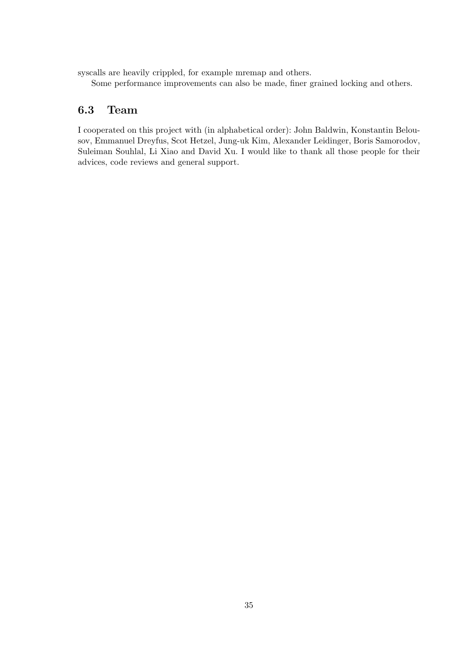syscalls are heavily crippled, for example mremap and others.

Some performance improvements can also be made, finer grained locking and others.

# <span id="page-38-0"></span>6.3 Team

I cooperated on this project with (in alphabetical order): John Baldwin, Konstantin Belousov, Emmanuel Dreyfus, Scot Hetzel, Jung-uk Kim, Alexander Leidinger, Boris Samorodov, Suleiman Souhlal, Li Xiao and David Xu. I would like to thank all those people for their advices, code reviews and general support.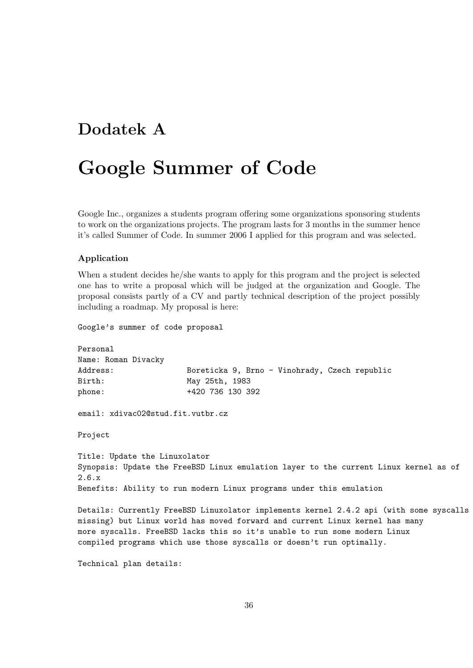# <span id="page-39-0"></span>Dodatek A

# Google Summer of Code

Google Inc., organizes a students program offering some organizations sponsoring students to work on the organizations projects. The program lasts for 3 months in the summer hence it's called Summer of Code. In summer 2006 I applied for this program and was selected.

# Application

When a student decides he/she wants to apply for this program and the project is selected one has to write a proposal which will be judged at the organization and Google. The proposal consists partly of a CV and partly technical description of the project possibly including a roadmap. My proposal is here:

Google's summer of code proposal

Personal Name: Roman Divacky Address: Boreticka 9, Brno - Vinohrady, Czech republic Birth: May 25th, 1983 phone: +420 736 130 392 email: xdivac02@stud.fit.vutbr.cz Project Title: Update the Linuxolator Synopsis: Update the FreeBSD Linux emulation layer to the current Linux kernel as of 2.6.x Benefits: Ability to run modern Linux programs under this emulation

Details: Currently FreeBSD Linuxolator implements kernel 2.4.2 api (with some syscalls missing) but Linux world has moved forward and current Linux kernel has many more syscalls. FreeBSD lacks this so it's unable to run some modern Linux compiled programs which use those syscalls or doesn't run optimally.

Technical plan details: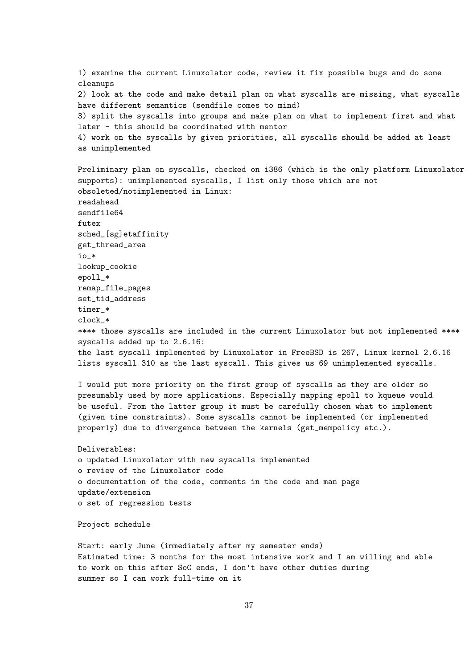1) examine the current Linuxolator code, review it fix possible bugs and do some cleanups 2) look at the code and make detail plan on what syscalls are missing, what syscalls have different semantics (sendfile comes to mind) 3) split the syscalls into groups and make plan on what to implement first and what later - this should be coordinated with mentor 4) work on the syscalls by given priorities, all syscalls should be added at least as unimplemented Preliminary plan on syscalls, checked on i386 (which is the only platform Linuxolator supports): unimplemented syscalls, I list only those which are not obsoleted/notimplemented in Linux: readahead sendfile64 futex sched\_[sg]etaffinity get\_thread\_area io\_\* lookup\_cookie epoll\_\* remap\_file\_pages set\_tid\_address timer \* clock\_\* \*\*\*\* those syscalls are included in the current Linuxolator but not implemented \*\*\*\* syscalls added up to 2.6.16: the last syscall implemented by Linuxolator in FreeBSD is 267, Linux kernel 2.6.16 lists syscall 310 as the last syscall. This gives us 69 unimplemented syscalls. I would put more priority on the first group of syscalls as they are older so presumably used by more applications. Especially mapping epoll to kqueue would be useful. From the latter group it must be carefully chosen what to implement (given time constraints). Some syscalls cannot be implemented (or implemented properly) due to divergence between the kernels (get\_mempolicy etc.). Deliverables: o updated Linuxolator with new syscalls implemented o review of the Linuxolator code o documentation of the code, comments in the code and man page update/extension o set of regression tests Project schedule Start: early June (immediately after my semester ends) Estimated time: 3 months for the most intensive work and I am willing and able to work on this after SoC ends, I don't have other duties during summer so I can work full-time on it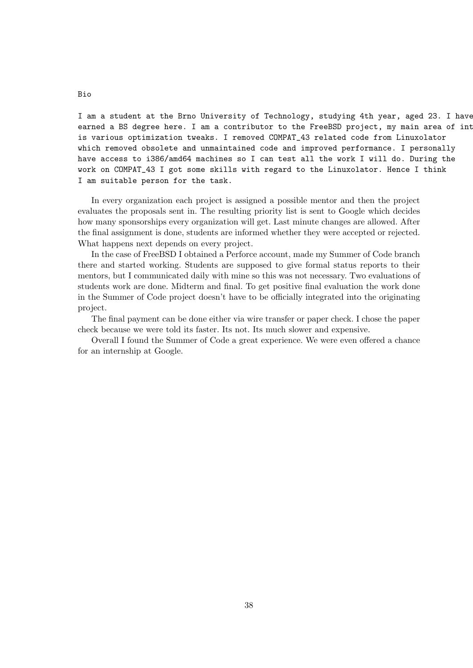I am a student at the Brno University of Technology, studying 4th year, aged 23. I have earned a BS degree here. I am a contributor to the FreeBSD project, my main area of int is various optimization tweaks. I removed COMPAT\_43 related code from Linuxolator which removed obsolete and unmaintained code and improved performance. I personally have access to i386/amd64 machines so I can test all the work I will do. During the work on COMPAT\_43 I got some skills with regard to the Linuxolator. Hence I think I am suitable person for the task.

In every organization each project is assigned a possible mentor and then the project evaluates the proposals sent in. The resulting priority list is sent to Google which decides how many sponsorships every organization will get. Last minute changes are allowed. After the final assignment is done, students are informed whether they were accepted or rejected. What happens next depends on every project.

In the case of FreeBSD I obtained a Perforce account, made my Summer of Code branch there and started working. Students are supposed to give formal status reports to their mentors, but I communicated daily with mine so this was not necessary. Two evaluations of students work are done. Midterm and final. To get positive final evaluation the work done in the Summer of Code project doesn't have to be officially integrated into the originating project.

The final payment can be done either via wire transfer or paper check. I chose the paper check because we were told its faster. Its not. Its much slower and expensive.

Overall I found the Summer of Code a great experience. We were even offered a chance for an internship at Google.

Bio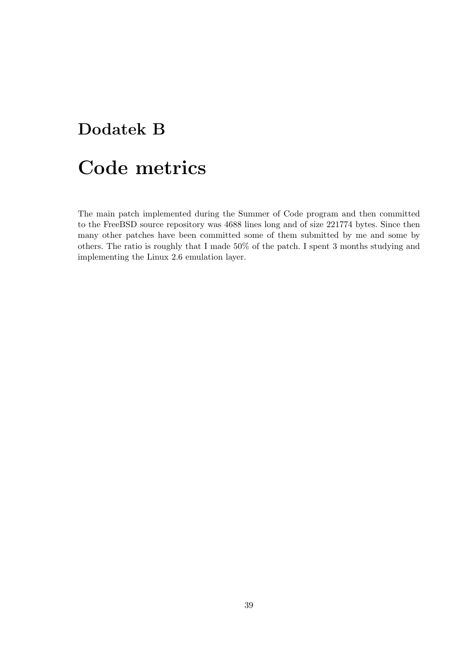# <span id="page-42-0"></span>Dodatek B

# Code metrics

The main patch implemented during the Summer of Code program and then committed to the FreeBSD source repository was 4688 lines long and of size 221774 bytes. Since then many other patches have been committed some of them submitted by me and some by others. The ratio is roughly that I made 50% of the patch. I spent 3 months studying and implementing the Linux 2.6 emulation layer.